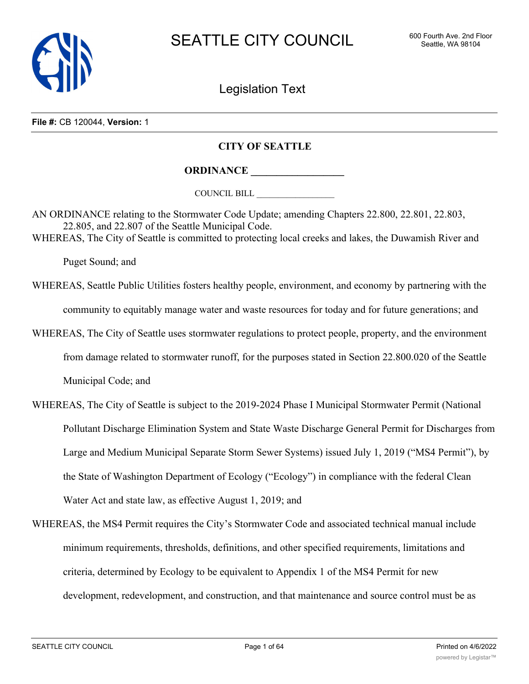

Legislation Text

# **File #:** CB 120044, **Version:** 1

# **CITY OF SEATTLE**

**ORDINANCE \_\_\_\_\_\_\_\_\_\_\_\_\_\_\_\_\_\_**

COUNCIL BILL \_\_\_\_\_\_\_\_\_\_\_\_\_\_\_\_\_\_

AN ORDINANCE relating to the Stormwater Code Update; amending Chapters 22.800, 22.801, 22.803, 22.805, and 22.807 of the Seattle Municipal Code. WHEREAS, The City of Seattle is committed to protecting local creeks and lakes, the Duwamish River and

Puget Sound; and

- WHEREAS, Seattle Public Utilities fosters healthy people, environment, and economy by partnering with the community to equitably manage water and waste resources for today and for future generations; and
- WHEREAS, The City of Seattle uses stormwater regulations to protect people, property, and the environment from damage related to stormwater runoff, for the purposes stated in Section 22.800.020 of the Seattle Municipal Code; and
- WHEREAS, The City of Seattle is subject to the 2019-2024 Phase I Municipal Stormwater Permit (National Pollutant Discharge Elimination System and State Waste Discharge General Permit for Discharges from Large and Medium Municipal Separate Storm Sewer Systems) issued July 1, 2019 ("MS4 Permit"), by the State of Washington Department of Ecology ("Ecology") in compliance with the federal Clean Water Act and state law, as effective August 1, 2019; and
- WHEREAS, the MS4 Permit requires the City's Stormwater Code and associated technical manual include minimum requirements, thresholds, definitions, and other specified requirements, limitations and criteria, determined by Ecology to be equivalent to Appendix 1 of the MS4 Permit for new development, redevelopment, and construction, and that maintenance and source control must be as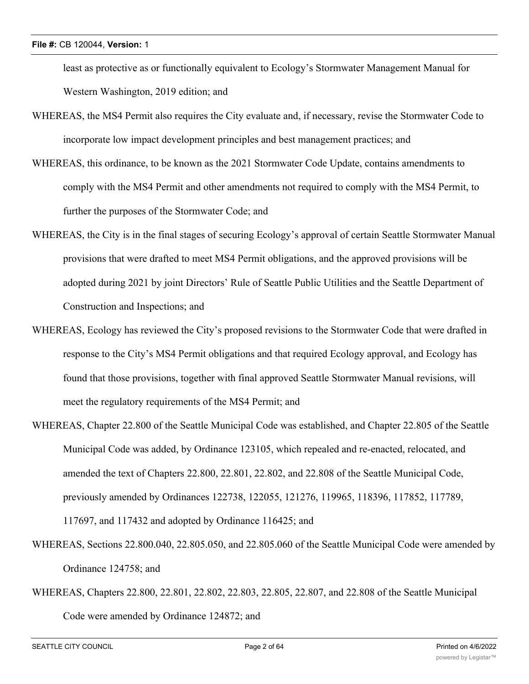least as protective as or functionally equivalent to Ecology's Stormwater Management Manual for Western Washington, 2019 edition; and

- WHEREAS, the MS4 Permit also requires the City evaluate and, if necessary, revise the Stormwater Code to incorporate low impact development principles and best management practices; and
- WHEREAS, this ordinance, to be known as the 2021 Stormwater Code Update, contains amendments to comply with the MS4 Permit and other amendments not required to comply with the MS4 Permit, to further the purposes of the Stormwater Code; and
- WHEREAS, the City is in the final stages of securing Ecology's approval of certain Seattle Stormwater Manual provisions that were drafted to meet MS4 Permit obligations, and the approved provisions will be adopted during 2021 by joint Directors' Rule of Seattle Public Utilities and the Seattle Department of Construction and Inspections; and
- WHEREAS, Ecology has reviewed the City's proposed revisions to the Stormwater Code that were drafted in response to the City's MS4 Permit obligations and that required Ecology approval, and Ecology has found that those provisions, together with final approved Seattle Stormwater Manual revisions, will meet the regulatory requirements of the MS4 Permit; and
- WHEREAS, Chapter 22.800 of the Seattle Municipal Code was established, and Chapter 22.805 of the Seattle Municipal Code was added, by Ordinance 123105, which repealed and re-enacted, relocated, and amended the text of Chapters 22.800, 22.801, 22.802, and 22.808 of the Seattle Municipal Code, previously amended by Ordinances 122738, 122055, 121276, 119965, 118396, 117852, 117789, 117697, and 117432 and adopted by Ordinance 116425; and
- WHEREAS, Sections 22.800.040, 22.805.050, and 22.805.060 of the Seattle Municipal Code were amended by Ordinance 124758; and
- WHEREAS, Chapters 22.800, 22.801, 22.802, 22.803, 22.805, 22.807, and 22.808 of the Seattle Municipal Code were amended by Ordinance 124872; and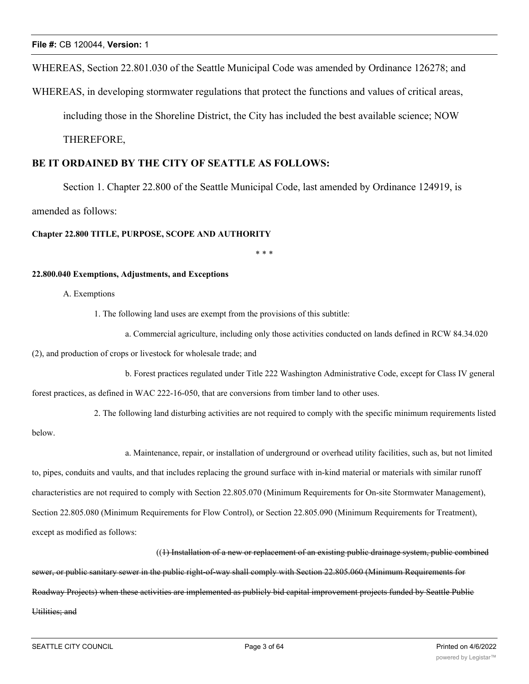WHEREAS, Section 22.801.030 of the Seattle Municipal Code was amended by Ordinance 126278; and

WHEREAS, in developing stormwater regulations that protect the functions and values of critical areas,

including those in the Shoreline District, the City has included the best available science; NOW

THEREFORE,

# **BE IT ORDAINED BY THE CITY OF SEATTLE AS FOLLOWS:**

Section 1. Chapter 22.800 of the Seattle Municipal Code, last amended by Ordinance 124919, is

amended as follows:

**Chapter 22.800 TITLE, PURPOSE, SCOPE AND AUTHORITY**

\* \* \*

# **22.800.040 Exemptions, Adjustments, and Exceptions**

# A. Exemptions

1. The following land uses are exempt from the provisions of this subtitle:

a. Commercial agriculture, including only those activities conducted on lands defined in RCW 84.34.020 (2), and production of crops or livestock for wholesale trade; and

b. Forest practices regulated under Title 222 Washington Administrative Code, except for Class IV general forest practices, as defined in WAC 222-16-050, that are conversions from timber land to other uses.

2. The following land disturbing activities are not required to comply with the specific minimum requirements listed

below.

a. Maintenance, repair, or installation of underground or overhead utility facilities, such as, but not limited

to, pipes, conduits and vaults, and that includes replacing the ground surface with in-kind material or materials with similar runoff

characteristics are not required to comply with Section 22.805.070 (Minimum Requirements for On-site Stormwater Management),

Section 22.805.080 (Minimum Requirements for Flow Control), or Section 22.805.090 (Minimum Requirements for Treatment),

except as modified as follows:

#### ((1) Installation of a new or replacement of an existing public drainage system, public combined

sewer, or public sanitary sewer in the public right-of-way shall comply with Section 22.805.060 (Minimum Requirements for Roadway Projects) when these activities are implemented as publicly bid capital improvement projects funded by Seattle Public Utilities; and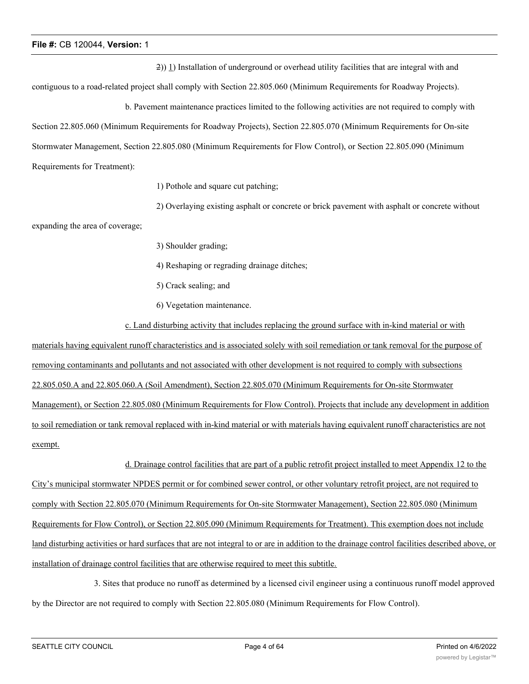2)) 1) Installation of underground or overhead utility facilities that are integral with and

contiguous to a road-related project shall comply with Section 22.805.060 (Minimum Requirements for Roadway Projects).

b. Pavement maintenance practices limited to the following activities are not required to comply with

Section 22.805.060 (Minimum Requirements for Roadway Projects), Section 22.805.070 (Minimum Requirements for On-site Stormwater Management, Section 22.805.080 (Minimum Requirements for Flow Control), or Section 22.805.090 (Minimum

Requirements for Treatment):

1) Pothole and square cut patching;

2) Overlaying existing asphalt or concrete or brick pavement with asphalt or concrete without

expanding the area of coverage;

3) Shoulder grading;

4) Reshaping or regrading drainage ditches;

5) Crack sealing; and

6) Vegetation maintenance.

c. Land disturbing activity that includes replacing the ground surface with in-kind material or with materials having equivalent runoff characteristics and is associated solely with soil remediation or tank removal for the purpose of removing contaminants and pollutants and not associated with other development is not required to comply with subsections 22.805.050.A and 22.805.060.A (Soil Amendment), Section 22.805.070 (Minimum Requirements for On-site Stormwater Management), or Section 22.805.080 (Minimum Requirements for Flow Control). Projects that include any development in addition to soil remediation or tank removal replaced with in-kind material or with materials having equivalent runoff characteristics are not exempt.

d. Drainage control facilities that are part of a public retrofit project installed to meet Appendix 12 to the City's municipal stormwater NPDES permit or for combined sewer control, or other voluntary retrofit project, are not required to comply with Section 22.805.070 (Minimum Requirements for On-site Stormwater Management), Section 22.805.080 (Minimum Requirements for Flow Control), or Section 22.805.090 (Minimum Requirements for Treatment). This exemption does not include land disturbing activities or hard surfaces that are not integral to or are in addition to the drainage control facilities described above, or installation of drainage control facilities that are otherwise required to meet this subtitle.

3. Sites that produce no runoff as determined by a licensed civil engineer using a continuous runoff model approved by the Director are not required to comply with Section 22.805.080 (Minimum Requirements for Flow Control).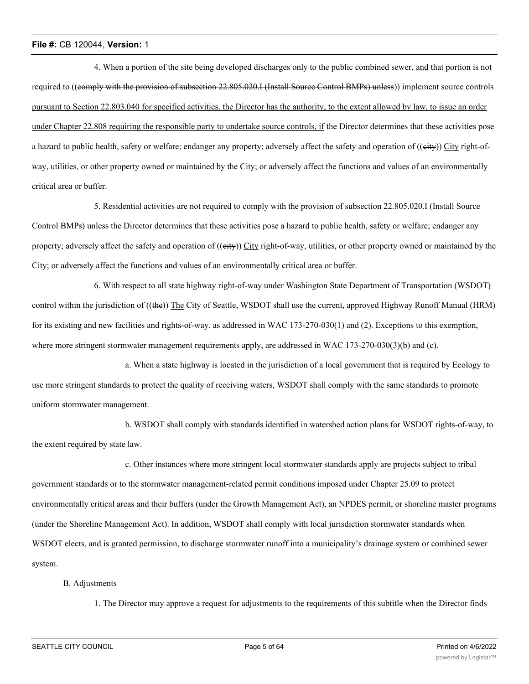4. When a portion of the site being developed discharges only to the public combined sewer, and that portion is not required to ((comply with the provision of subsection 22.805.020.I (Install Source Control BMPs) unless)) implement source controls pursuant to Section 22.803.040 for specified activities, the Director has the authority, to the extent allowed by law, to issue an order under Chapter 22.808 requiring the responsible party to undertake source controls, if the Director determines that these activities pose a hazard to public health, safety or welfare; endanger any property; adversely affect the safety and operation of ((eity)) City right-ofway, utilities, or other property owned or maintained by the City; or adversely affect the functions and values of an environmentally critical area or buffer.

5. Residential activities are not required to comply with the provision of subsection 22.805.020.I (Install Source Control BMPs) unless the Director determines that these activities pose a hazard to public health, safety or welfare; endanger any property; adversely affect the safety and operation of ((eity)) City right-of-way, utilities, or other property owned or maintained by the City; or adversely affect the functions and values of an environmentally critical area or buffer.

6. With respect to all state highway right-of-way under Washington State Department of Transportation (WSDOT) control within the jurisdiction of ((the)) The City of Seattle, WSDOT shall use the current, approved Highway Runoff Manual (HRM) for its existing and new facilities and rights-of-way, as addressed in WAC 173-270-030(1) and (2). Exceptions to this exemption, where more stringent stormwater management requirements apply, are addressed in WAC 173-270-030(3)(b) and (c).

a. When a state highway is located in the jurisdiction of a local government that is required by Ecology to use more stringent standards to protect the quality of receiving waters, WSDOT shall comply with the same standards to promote uniform stormwater management.

b. WSDOT shall comply with standards identified in watershed action plans for WSDOT rights-of-way, to the extent required by state law.

c. Other instances where more stringent local stormwater standards apply are projects subject to tribal government standards or to the stormwater management-related permit conditions imposed under Chapter 25.09 to protect environmentally critical areas and their buffers (under the Growth Management Act), an NPDES permit, or shoreline master programs (under the Shoreline Management Act). In addition, WSDOT shall comply with local jurisdiction stormwater standards when WSDOT elects, and is granted permission, to discharge stormwater runoff into a municipality's drainage system or combined sewer system.

#### B. Adjustments

1. The Director may approve a request for adjustments to the requirements of this subtitle when the Director finds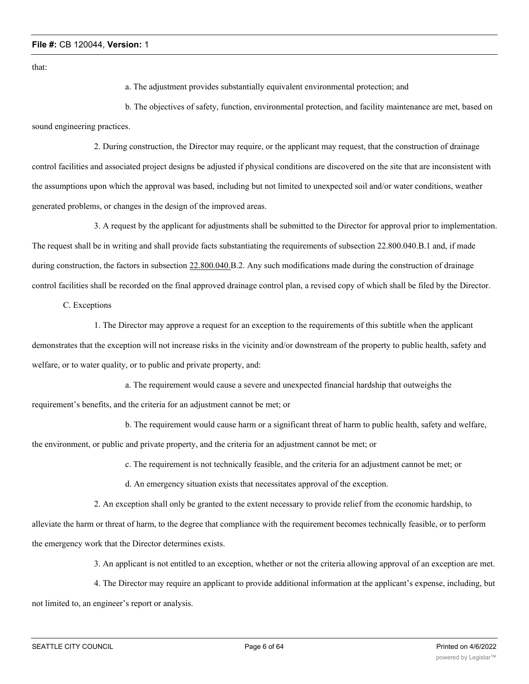that:

a. The adjustment provides substantially equivalent environmental protection; and

b. The objectives of safety, function, environmental protection, and facility maintenance are met, based on sound engineering practices.

2. During construction, the Director may require, or the applicant may request, that the construction of drainage control facilities and associated project designs be adjusted if physical conditions are discovered on the site that are inconsistent with the assumptions upon which the approval was based, including but not limited to unexpected soil and/or water conditions, weather generated problems, or changes in the design of the improved areas.

3. A request by the applicant for adjustments shall be submitted to the Director for approval prior to implementation. The request shall be in writing and shall provide facts substantiating the requirements of subsection 22.800.040.B.1 and, if made during construction, the factors in subsection 22.800.040.B.2. Any such modifications made during the construction of drainage control facilities shall be recorded on the final approved drainage control plan, a revised copy of which shall be filed by the Director.

C. Exceptions

1. The Director may approve a request for an exception to the requirements of this subtitle when the applicant demonstrates that the exception will not increase risks in the vicinity and/or downstream of the property to public health, safety and welfare, or to water quality, or to public and private property, and:

a. The requirement would cause a severe and unexpected financial hardship that outweighs the requirement's benefits, and the criteria for an adjustment cannot be met; or

b. The requirement would cause harm or a significant threat of harm to public health, safety and welfare, the environment, or public and private property, and the criteria for an adjustment cannot be met; or

c. The requirement is not technically feasible, and the criteria for an adjustment cannot be met; or

d. An emergency situation exists that necessitates approval of the exception.

2. An exception shall only be granted to the extent necessary to provide relief from the economic hardship, to alleviate the harm or threat of harm, to the degree that compliance with the requirement becomes technically feasible, or to perform the emergency work that the Director determines exists.

3. An applicant is not entitled to an exception, whether or not the criteria allowing approval of an exception are met.

4. The Director may require an applicant to provide additional information at the applicant's expense, including, but not limited to, an engineer's report or analysis.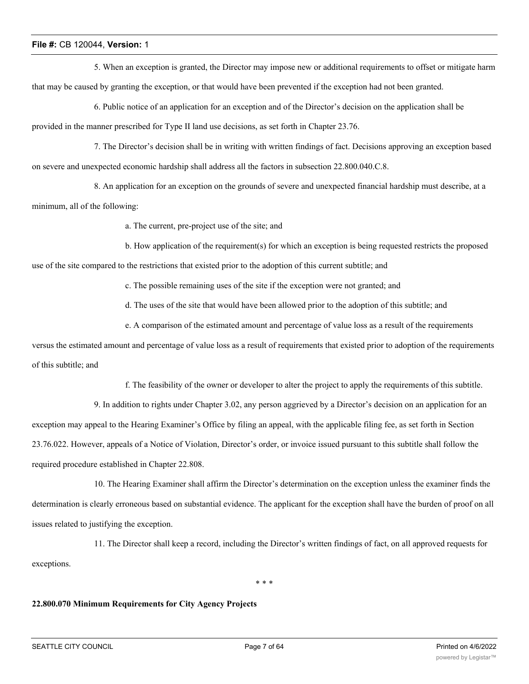5. When an exception is granted, the Director may impose new or additional requirements to offset or mitigate harm that may be caused by granting the exception, or that would have been prevented if the exception had not been granted.

6. Public notice of an application for an exception and of the Director's decision on the application shall be provided in the manner prescribed for Type II land use decisions, as set forth in Chapter 23.76.

7. The Director's decision shall be in writing with written findings of fact. Decisions approving an exception based on severe and unexpected economic hardship shall address all the factors in subsection 22.800.040.C.8.

8. An application for an exception on the grounds of severe and unexpected financial hardship must describe, at a minimum, all of the following:

a. The current, pre-project use of the site; and

b. How application of the requirement(s) for which an exception is being requested restricts the proposed

use of the site compared to the restrictions that existed prior to the adoption of this current subtitle; and

c. The possible remaining uses of the site if the exception were not granted; and

d. The uses of the site that would have been allowed prior to the adoption of this subtitle; and

e. A comparison of the estimated amount and percentage of value loss as a result of the requirements

versus the estimated amount and percentage of value loss as a result of requirements that existed prior to adoption of the requirements of this subtitle; and

f. The feasibility of the owner or developer to alter the project to apply the requirements of this subtitle.

9. In addition to rights under Chapter 3.02, any person aggrieved by a Director's decision on an application for an exception may appeal to the Hearing Examiner's Office by filing an appeal, with the applicable filing fee, as set forth in Section 23.76.022. However, appeals of a Notice of Violation, Director's order, or invoice issued pursuant to this subtitle shall follow the required procedure established in Chapter 22.808.

10. The Hearing Examiner shall affirm the Director's determination on the exception unless the examiner finds the determination is clearly erroneous based on substantial evidence. The applicant for the exception shall have the burden of proof on all issues related to justifying the exception.

11. The Director shall keep a record, including the Director's written findings of fact, on all approved requests for exceptions.

\* \* \*

# **22.800.070 Minimum Requirements for City Agency Projects**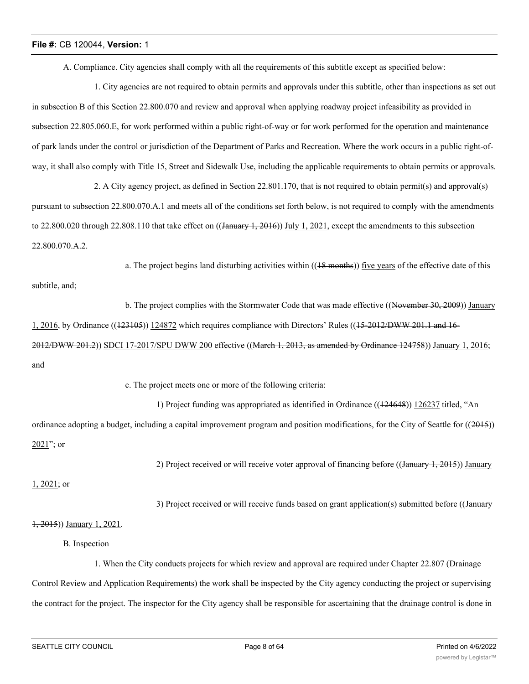A. Compliance. City agencies shall comply with all the requirements of this subtitle except as specified below:

1. City agencies are not required to obtain permits and approvals under this subtitle, other than inspections as set out in subsection B of this Section 22.800.070 and review and approval when applying roadway project infeasibility as provided in subsection 22.805.060.E, for work performed within a public right-of-way or for work performed for the operation and maintenance of park lands under the control or jurisdiction of the Department of Parks and Recreation. Where the work occurs in a public right-ofway, it shall also comply with Title 15, Street and Sidewalk Use, including the applicable requirements to obtain permits or approvals.

2. A City agency project, as defined in Section 22.801.170, that is not required to obtain permit(s) and approval(s) pursuant to subsection 22.800.070.A.1 and meets all of the conditions set forth below, is not required to comply with the amendments to 22.800.020 through 22.808.110 that take effect on  $((\text{January } 1, 2016))$  July 1, 2021, except the amendments to this subsection 22.800.070.A.2.

a. The project begins land disturbing activities within  $((18 \text{ months}))$  five years of the effective date of this

subtitle, and;

b. The project complies with the Stormwater Code that was made effective ((November 30, 2009)) January 1, 2016, by Ordinance ((123105)) 124872 which requires compliance with Directors' Rules ((15-2012/DWW 201.1 and 16- 2012/DWW 201.2)) SDCI 17-2017/SPU DWW 200 effective ((March 1, 2013, as amended by Ordinance 124758)) January 1, 2016; and

c. The project meets one or more of the following criteria:

1) Project funding was appropriated as identified in Ordinance ((124648)) 126237 titled, "An ordinance adopting a budget, including a capital improvement program and position modifications, for the City of Seattle for  $((2015))$  $2021$ "; or

2) Project received or will receive voter approval of financing before ((January 1, 2015)) January

1, 2021; or

3) Project received or will receive funds based on grant application(s) submitted before ((January

#### 1, 2015)) January 1, 2021.

B. Inspection

1. When the City conducts projects for which review and approval are required under Chapter 22.807 (Drainage Control Review and Application Requirements) the work shall be inspected by the City agency conducting the project or supervising the contract for the project. The inspector for the City agency shall be responsible for ascertaining that the drainage control is done in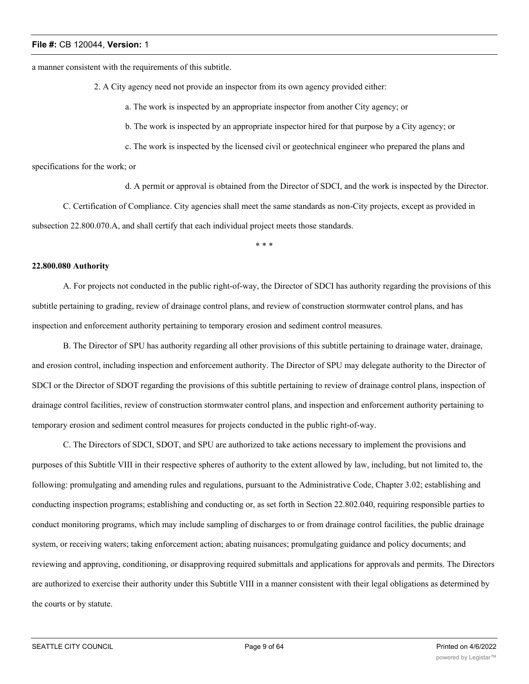a manner consistent with the requirements of this subtitle.

2. A City agency need not provide an inspector from its own agency provided either:

a. The work is inspected by an appropriate inspector from another City agency; or

b. The work is inspected by an appropriate inspector hired for that purpose by a City agency; or

c. The work is inspected by the licensed civil or geotechnical engineer who prepared the plans and

specifications for the work; or

d. A permit or approval is obtained from the Director of SDCI, and the work is inspected by the Director.

C. Certification of Compliance. City agencies shall meet the same standards as non-City projects, except as provided in subsection 22.800.070.A, and shall certify that each individual project meets those standards.

\* \* \*

# **22.800.080 Authority**

A. For projects not conducted in the public right-of-way, the Director of SDCI has authority regarding the provisions of this subtitle pertaining to grading, review of drainage control plans, and review of construction stormwater control plans, and has inspection and enforcement authority pertaining to temporary erosion and sediment control measures.

B. The Director of SPU has authority regarding all other provisions of this subtitle pertaining to drainage water, drainage, and erosion control, including inspection and enforcement authority. The Director of SPU may delegate authority to the Director of SDCI or the Director of SDOT regarding the provisions of this subtitle pertaining to review of drainage control plans, inspection of drainage control facilities, review of construction stormwater control plans, and inspection and enforcement authority pertaining to temporary erosion and sediment control measures for projects conducted in the public right-of-way.

C. The Directors of SDCI, SDOT, and SPU are authorized to take actions necessary to implement the provisions and purposes of this Subtitle VIII in their respective spheres of authority to the extent allowed by law, including, but not limited to, the following: promulgating and amending rules and regulations, pursuant to the Administrative Code, Chapter 3.02; establishing and conducting inspection programs; establishing and conducting or, as set forth in Section 22.802.040, requiring responsible parties to conduct monitoring programs, which may include sampling of discharges to or from drainage control facilities, the public drainage system, or receiving waters; taking enforcement action; abating nuisances; promulgating guidance and policy documents; and reviewing and approving, conditioning, or disapproving required submittals and applications for approvals and permits. The Directors are authorized to exercise their authority under this Subtitle VIII in a manner consistent with their legal obligations as determined by the courts or by statute.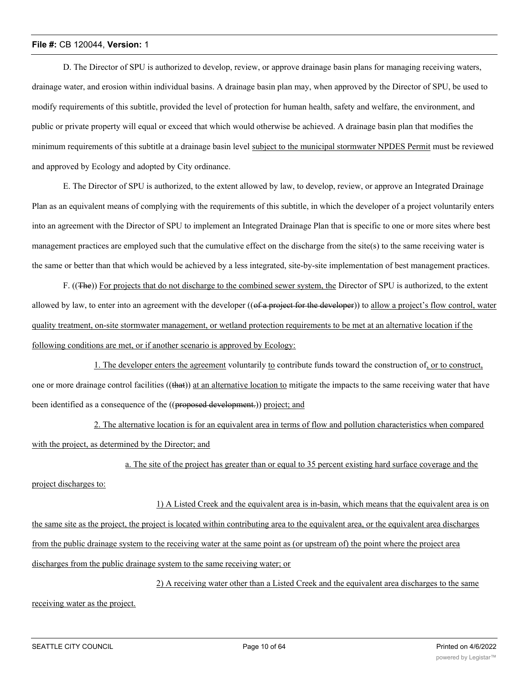D. The Director of SPU is authorized to develop, review, or approve drainage basin plans for managing receiving waters, drainage water, and erosion within individual basins. A drainage basin plan may, when approved by the Director of SPU, be used to modify requirements of this subtitle, provided the level of protection for human health, safety and welfare, the environment, and public or private property will equal or exceed that which would otherwise be achieved. A drainage basin plan that modifies the minimum requirements of this subtitle at a drainage basin level subject to the municipal stormwater NPDES Permit must be reviewed and approved by Ecology and adopted by City ordinance.

E. The Director of SPU is authorized, to the extent allowed by law, to develop, review, or approve an Integrated Drainage Plan as an equivalent means of complying with the requirements of this subtitle, in which the developer of a project voluntarily enters into an agreement with the Director of SPU to implement an Integrated Drainage Plan that is specific to one or more sites where best management practices are employed such that the cumulative effect on the discharge from the site(s) to the same receiving water is the same or better than that which would be achieved by a less integrated, site-by-site implementation of best management practices.

F. ((The)) For projects that do not discharge to the combined sewer system, the Director of SPU is authorized, to the extent allowed by law, to enter into an agreement with the developer ((of a project for the developer)) to allow a project's flow control, water quality treatment, on-site stormwater management, or wetland protection requirements to be met at an alternative location if the following conditions are met, or if another scenario is approved by Ecology:

1. The developer enters the agreement voluntarily to contribute funds toward the construction of, or to construct, one or more drainage control facilities  $((\text{that}))$  at an alternative location to mitigate the impacts to the same receiving water that have been identified as a consequence of the ((proposed development.)) project; and

2. The alternative location is for an equivalent area in terms of flow and pollution characteristics when compared with the project, as determined by the Director; and

a. The site of the project has greater than or equal to 35 percent existing hard surface coverage and the

project discharges to:

1) A Listed Creek and the equivalent area is in-basin, which means that the equivalent area is on the same site as the project, the project is located within contributing area to the equivalent area, or the equivalent area discharges from the public drainage system to the receiving water at the same point as (or upstream of) the point where the project area discharges from the public drainage system to the same receiving water; or

2) A receiving water other than a Listed Creek and the equivalent area discharges to the same

receiving water as the project.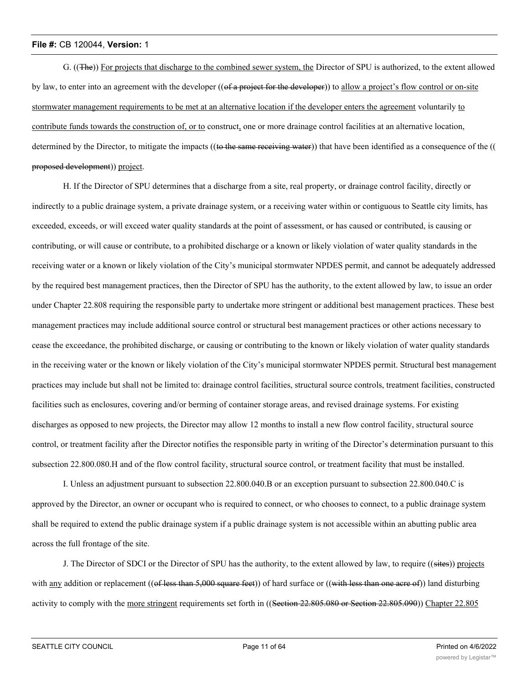G. ((The)) For projects that discharge to the combined sewer system, the Director of SPU is authorized, to the extent allowed by law, to enter into an agreement with the developer ((of a project for the developer)) to allow a project's flow control or on-site stormwater management requirements to be met at an alternative location if the developer enters the agreement voluntarily to contribute funds towards the construction of, or to construct, one or more drainage control facilities at an alternative location, determined by the Director, to mitigate the impacts ((to the same receiving water)) that have been identified as a consequence of the (( proposed development)) project.

H. If the Director of SPU determines that a discharge from a site, real property, or drainage control facility, directly or indirectly to a public drainage system, a private drainage system, or a receiving water within or contiguous to Seattle city limits, has exceeded, exceeds, or will exceed water quality standards at the point of assessment, or has caused or contributed, is causing or contributing, or will cause or contribute, to a prohibited discharge or a known or likely violation of water quality standards in the receiving water or a known or likely violation of the City's municipal stormwater NPDES permit, and cannot be adequately addressed by the required best management practices, then the Director of SPU has the authority, to the extent allowed by law, to issue an order under Chapter 22.808 requiring the responsible party to undertake more stringent or additional best management practices. These best management practices may include additional source control or structural best management practices or other actions necessary to cease the exceedance, the prohibited discharge, or causing or contributing to the known or likely violation of water quality standards in the receiving water or the known or likely violation of the City's municipal stormwater NPDES permit. Structural best management practices may include but shall not be limited to: drainage control facilities, structural source controls, treatment facilities, constructed facilities such as enclosures, covering and/or berming of container storage areas, and revised drainage systems. For existing discharges as opposed to new projects, the Director may allow 12 months to install a new flow control facility, structural source control, or treatment facility after the Director notifies the responsible party in writing of the Director's determination pursuant to this subsection 22.800.080.H and of the flow control facility, structural source control, or treatment facility that must be installed.

I. Unless an adjustment pursuant to subsection 22.800.040.B or an exception pursuant to subsection 22.800.040.C is approved by the Director, an owner or occupant who is required to connect, or who chooses to connect, to a public drainage system shall be required to extend the public drainage system if a public drainage system is not accessible within an abutting public area across the full frontage of the site.

J. The Director of SDCI or the Director of SPU has the authority, to the extent allowed by law, to require ((sites)) projects with any addition or replacement ((of less than  $5,000$  square feet)) of hard surface or ((with less than one acre of)) land disturbing activity to comply with the more stringent requirements set forth in ((Section 22.805.080 or Section 22.805.090)) Chapter 22.805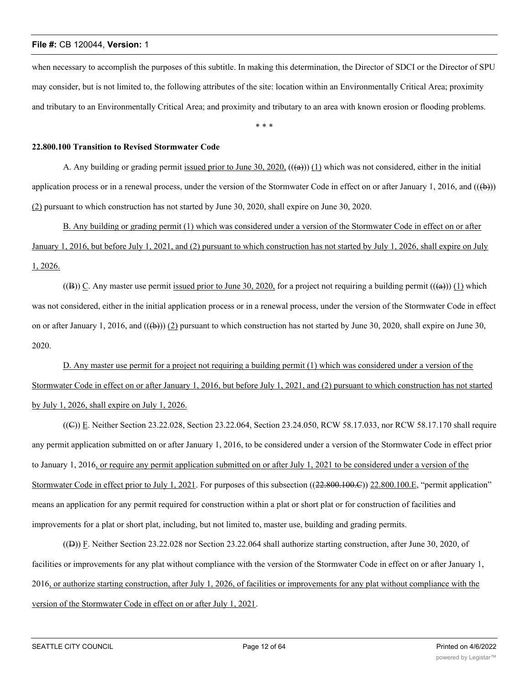when necessary to accomplish the purposes of this subtitle. In making this determination, the Director of SDCI or the Director of SPU may consider, but is not limited to, the following attributes of the site: location within an Environmentally Critical Area; proximity and tributary to an Environmentally Critical Area; and proximity and tributary to an area with known erosion or flooding problems.

\* \* \*

# **22.800.100 Transition to Revised Stormwater Code**

A. Any building or grading permit issued prior to June 30, 2020,  $((a))$  (1) which was not considered, either in the initial application process or in a renewal process, under the version of the Stormwater Code in effect on or after January 1, 2016, and  $((\theta))$ (2) pursuant to which construction has not started by June 30, 2020, shall expire on June 30, 2020.

B. Any building or grading permit (1) which was considered under a version of the Stormwater Code in effect on or after January 1, 2016, but before July 1, 2021, and (2) pursuant to which construction has not started by July 1, 2026, shall expire on July 1, 2026.

((B)) C. Any master use permit issued prior to June 30, 2020, for a project not requiring a building permit  $((a))$  (1) which was not considered, either in the initial application process or in a renewal process, under the version of the Stormwater Code in effect on or after January 1, 2016, and  $((\oplus))$  (2) pursuant to which construction has not started by June 30, 2020, shall expire on June 30, 2020.

D. Any master use permit for a project not requiring a building permit (1) which was considered under a version of the Stormwater Code in effect on or after January 1, 2016, but before July 1, 2021, and (2) pursuant to which construction has not started by July 1, 2026, shall expire on July 1, 2026.

((C)) E. Neither Section 23.22.028, Section 23.22.064, Section 23.24.050, RCW 58.17.033, nor RCW 58.17.170 shall require any permit application submitted on or after January 1, 2016, to be considered under a version of the Stormwater Code in effect prior to January 1, 2016, or require any permit application submitted on or after July 1, 2021 to be considered under a version of the Stormwater Code in effect prior to July 1, 2021. For purposes of this subsection ((22.800.100.C)) 22.800.100.E, "permit application" means an application for any permit required for construction within a plat or short plat or for construction of facilities and improvements for a plat or short plat, including, but not limited to, master use, building and grading permits.

((D)) F. Neither Section 23.22.028 nor Section 23.22.064 shall authorize starting construction, after June 30, 2020, of facilities or improvements for any plat without compliance with the version of the Stormwater Code in effect on or after January 1, 2016, or authorize starting construction, after July 1, 2026, of facilities or improvements for any plat without compliance with the version of the Stormwater Code in effect on or after July 1, 2021.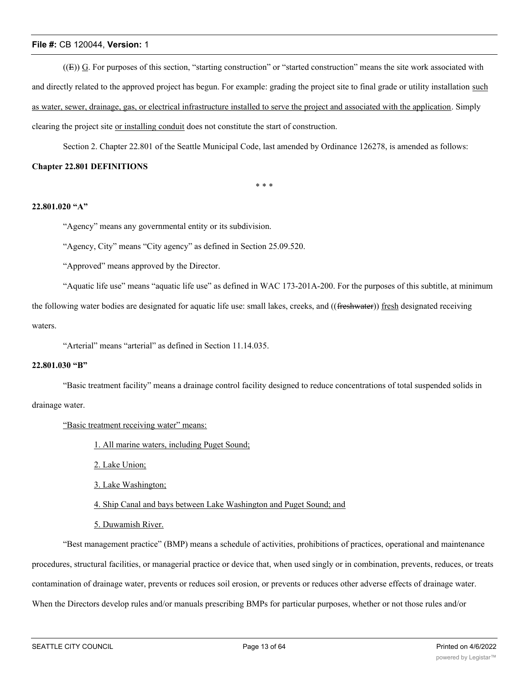$((E))$  G. For purposes of this section, "starting construction" or "started construction" means the site work associated with and directly related to the approved project has begun. For example: grading the project site to final grade or utility installation such as water, sewer, drainage, gas, or electrical infrastructure installed to serve the project and associated with the application. Simply clearing the project site or installing conduit does not constitute the start of construction.

Section 2. Chapter 22.801 of the Seattle Municipal Code, last amended by Ordinance 126278, is amended as follows:

# **Chapter 22.801 DEFINITIONS**

\* \* \*

#### **22.801.020 "A"**

"Agency" means any governmental entity or its subdivision.

"Agency, City" means "City agency" as defined in Section 25.09.520.

"Approved" means approved by the Director.

"Aquatic life use" means "aquatic life use" as defined in WAC 173-201A-200. For the purposes of this subtitle, at minimum the following water bodies are designated for aquatic life use: small lakes, creeks, and ((freshwater)) fresh designated receiving waters.

"Arterial" means "arterial" as defined in Section 11.14.035.

# **22.801.030 "B"**

"Basic treatment facility" means a drainage control facility designed to reduce concentrations of total suspended solids in

drainage water.

"Basic treatment receiving water" means:

1. All marine waters, including Puget Sound;

2. Lake Union;

3. Lake Washington;

4. Ship Canal and bays between Lake Washington and Puget Sound; and

5. Duwamish River.

"Best management practice" (BMP) means a schedule of activities, prohibitions of practices, operational and maintenance procedures, structural facilities, or managerial practice or device that, when used singly or in combination, prevents, reduces, or treats contamination of drainage water, prevents or reduces soil erosion, or prevents or reduces other adverse effects of drainage water. When the Directors develop rules and/or manuals prescribing BMPs for particular purposes, whether or not those rules and/or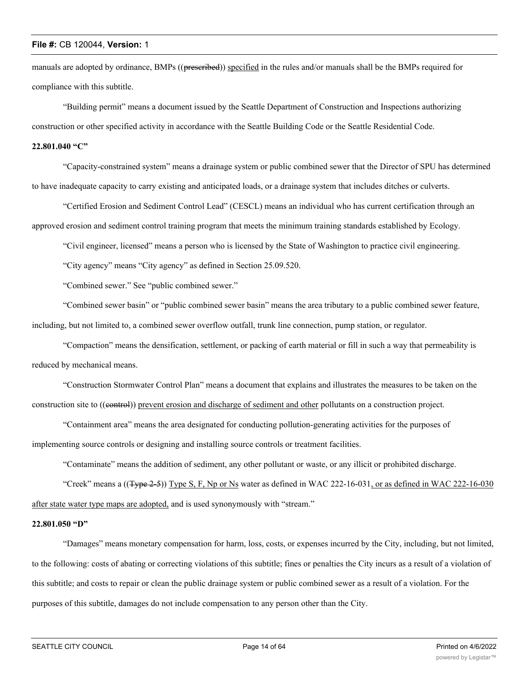manuals are adopted by ordinance, BMPs ((preseribed)) specified in the rules and/or manuals shall be the BMPs required for compliance with this subtitle.

"Building permit" means a document issued by the Seattle Department of Construction and Inspections authorizing construction or other specified activity in accordance with the Seattle Building Code or the Seattle Residential Code.

# **22.801.040 "C"**

"Capacity-constrained system" means a drainage system or public combined sewer that the Director of SPU has determined to have inadequate capacity to carry existing and anticipated loads, or a drainage system that includes ditches or culverts.

"Certified Erosion and Sediment Control Lead" (CESCL) means an individual who has current certification through an approved erosion and sediment control training program that meets the minimum training standards established by Ecology.

"Civil engineer, licensed" means a person who is licensed by the State of Washington to practice civil engineering.

"City agency" means "City agency" as defined in Section 25.09.520.

"Combined sewer." See "public combined sewer."

"Combined sewer basin" or "public combined sewer basin" means the area tributary to a public combined sewer feature, including, but not limited to, a combined sewer overflow outfall, trunk line connection, pump station, or regulator.

"Compaction" means the densification, settlement, or packing of earth material or fill in such a way that permeability is reduced by mechanical means.

"Construction Stormwater Control Plan" means a document that explains and illustrates the measures to be taken on the construction site to ((control)) prevent erosion and discharge of sediment and other pollutants on a construction project.

"Containment area" means the area designated for conducting pollution-generating activities for the purposes of implementing source controls or designing and installing source controls or treatment facilities.

"Contaminate" means the addition of sediment, any other pollutant or waste, or any illicit or prohibited discharge.

"Creek" means a  $((\text{Type 2-5}))$  Type S, F, Np or Ns water as defined in WAC 222-16-031, or as defined in WAC 222-16-030 after state water type maps are adopted, and is used synonymously with "stream."

# **22.801.050 "D"**

"Damages" means monetary compensation for harm, loss, costs, or expenses incurred by the City, including, but not limited, to the following: costs of abating or correcting violations of this subtitle; fines or penalties the City incurs as a result of a violation of this subtitle; and costs to repair or clean the public drainage system or public combined sewer as a result of a violation. For the purposes of this subtitle, damages do not include compensation to any person other than the City.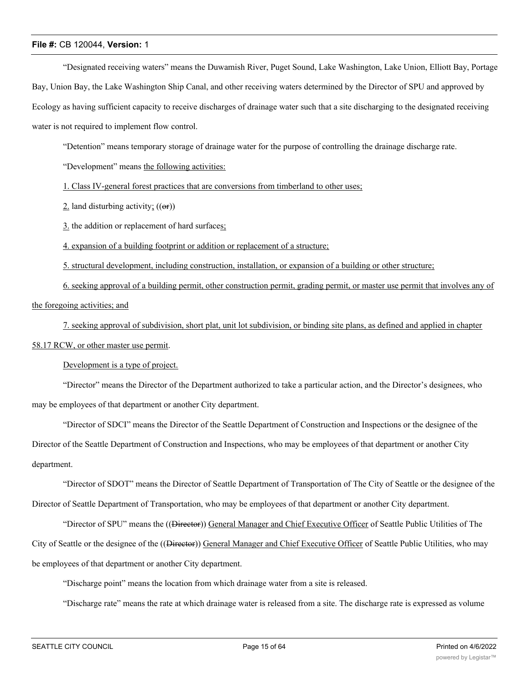"Designated receiving waters" means the Duwamish River, Puget Sound, Lake Washington, Lake Union, Elliott Bay, Portage Bay, Union Bay, the Lake Washington Ship Canal, and other receiving waters determined by the Director of SPU and approved by Ecology as having sufficient capacity to receive discharges of drainage water such that a site discharging to the designated receiving water is not required to implement flow control.

"Detention" means temporary storage of drainage water for the purpose of controlling the drainage discharge rate.

"Development" means the following activities:

1. Class IV-general forest practices that are conversions from timberland to other uses;

2. land disturbing activity;  $((\Theta$ **r**))

3. the addition or replacement of hard surfaces;

4. expansion of a building footprint or addition or replacement of a structure;

5. structural development, including construction, installation, or expansion of a building or other structure;

6. seeking approval of a building permit, other construction permit, grading permit, or master use permit that involves any of the foregoing activities; and

7. seeking approval of subdivision, short plat, unit lot subdivision, or binding site plans, as defined and applied in chapter 58.17 RCW, or other master use permit.

Development is a type of project.

"Director" means the Director of the Department authorized to take a particular action, and the Director's designees, who may be employees of that department or another City department.

"Director of SDCI" means the Director of the Seattle Department of Construction and Inspections or the designee of the Director of the Seattle Department of Construction and Inspections, who may be employees of that department or another City department.

"Director of SDOT" means the Director of Seattle Department of Transportation of The City of Seattle or the designee of the Director of Seattle Department of Transportation, who may be employees of that department or another City department.

"Director of SPU" means the ((Director)) General Manager and Chief Executive Officer of Seattle Public Utilities of The City of Seattle or the designee of the ((<del>Director</del>)) General Manager and Chief Executive Officer of Seattle Public Utilities, who may be employees of that department or another City department.

"Discharge point" means the location from which drainage water from a site is released.

"Discharge rate" means the rate at which drainage water is released from a site. The discharge rate is expressed as volume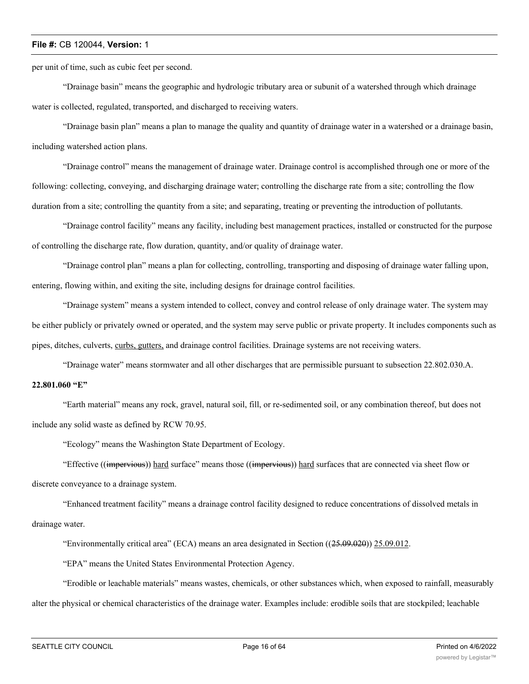per unit of time, such as cubic feet per second.

"Drainage basin" means the geographic and hydrologic tributary area or subunit of a watershed through which drainage water is collected, regulated, transported, and discharged to receiving waters.

"Drainage basin plan" means a plan to manage the quality and quantity of drainage water in a watershed or a drainage basin, including watershed action plans.

"Drainage control" means the management of drainage water. Drainage control is accomplished through one or more of the following: collecting, conveying, and discharging drainage water; controlling the discharge rate from a site; controlling the flow duration from a site; controlling the quantity from a site; and separating, treating or preventing the introduction of pollutants.

"Drainage control facility" means any facility, including best management practices, installed or constructed for the purpose of controlling the discharge rate, flow duration, quantity, and/or quality of drainage water.

"Drainage control plan" means a plan for collecting, controlling, transporting and disposing of drainage water falling upon, entering, flowing within, and exiting the site, including designs for drainage control facilities.

"Drainage system" means a system intended to collect, convey and control release of only drainage water. The system may be either publicly or privately owned or operated, and the system may serve public or private property. It includes components such as pipes, ditches, culverts, curbs, gutters, and drainage control facilities. Drainage systems are not receiving waters.

"Drainage water" means stormwater and all other discharges that are permissible pursuant to subsection 22.802.030.A.

# **22.801.060 "E"**

"Earth material" means any rock, gravel, natural soil, fill, or re-sedimented soil, or any combination thereof, but does not include any solid waste as defined by RCW 70.95.

"Ecology" means the Washington State Department of Ecology.

"Effective ((impervious)) hard surface" means those ((impervious)) hard surfaces that are connected via sheet flow or

discrete conveyance to a drainage system.

"Enhanced treatment facility" means a drainage control facility designed to reduce concentrations of dissolved metals in drainage water.

"Environmentally critical area" (ECA) means an area designated in Section ((25.09.020)) 25.09.012.

"EPA" means the United States Environmental Protection Agency.

"Erodible or leachable materials" means wastes, chemicals, or other substances which, when exposed to rainfall, measurably alter the physical or chemical characteristics of the drainage water. Examples include: erodible soils that are stockpiled; leachable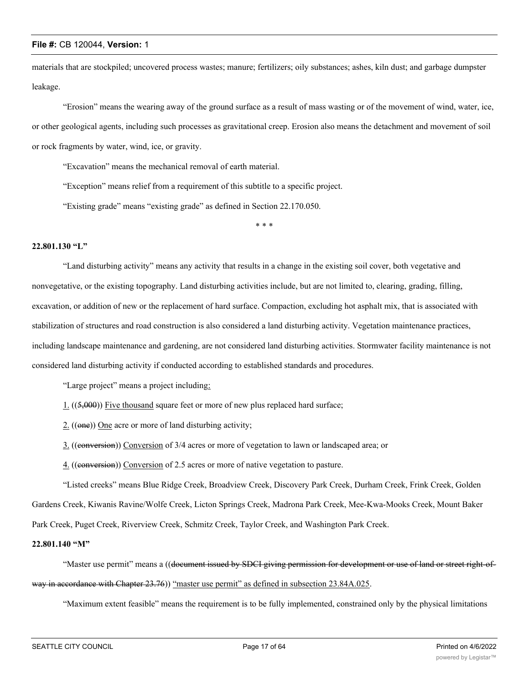materials that are stockpiled; uncovered process wastes; manure; fertilizers; oily substances; ashes, kiln dust; and garbage dumpster leakage.

"Erosion" means the wearing away of the ground surface as a result of mass wasting or of the movement of wind, water, ice, or other geological agents, including such processes as gravitational creep. Erosion also means the detachment and movement of soil or rock fragments by water, wind, ice, or gravity.

"Excavation" means the mechanical removal of earth material.

"Exception" means relief from a requirement of this subtitle to a specific project.

"Existing grade" means "existing grade" as defined in Section 22.170.050.

\* \* \*

# **22.801.130 "L"**

"Land disturbing activity" means any activity that results in a change in the existing soil cover, both vegetative and nonvegetative, or the existing topography. Land disturbing activities include, but are not limited to, clearing, grading, filling, excavation, or addition of new or the replacement of hard surface. Compaction, excluding hot asphalt mix, that is associated with stabilization of structures and road construction is also considered a land disturbing activity. Vegetation maintenance practices, including landscape maintenance and gardening, are not considered land disturbing activities. Stormwater facility maintenance is not considered land disturbing activity if conducted according to established standards and procedures.

"Large project" means a project including:

- 1. ((5,000)) Five thousand square feet or more of new plus replaced hard surface;
- 2. ((one)) One acre or more of land disturbing activity;
- 3. ((conversion)) Conversion of 3/4 acres or more of vegetation to lawn or landscaped area; or
- 4. ((conversion)) Conversion of 2.5 acres or more of native vegetation to pasture.

"Listed creeks" means Blue Ridge Creek, Broadview Creek, Discovery Park Creek, Durham Creek, Frink Creek, Golden Gardens Creek, Kiwanis Ravine/Wolfe Creek, Licton Springs Creek, Madrona Park Creek, Mee-Kwa-Mooks Creek, Mount Baker Park Creek, Puget Creek, Riverview Creek, Schmitz Creek, Taylor Creek, and Washington Park Creek.

#### **22.801.140 "M"**

"Master use permit" means a ((document issued by SDCI giving permission for development or use of land or street right-ofway in accordance with Chapter 23.76)) "master use permit" as defined in subsection 23.84A.025.

"Maximum extent feasible" means the requirement is to be fully implemented, constrained only by the physical limitations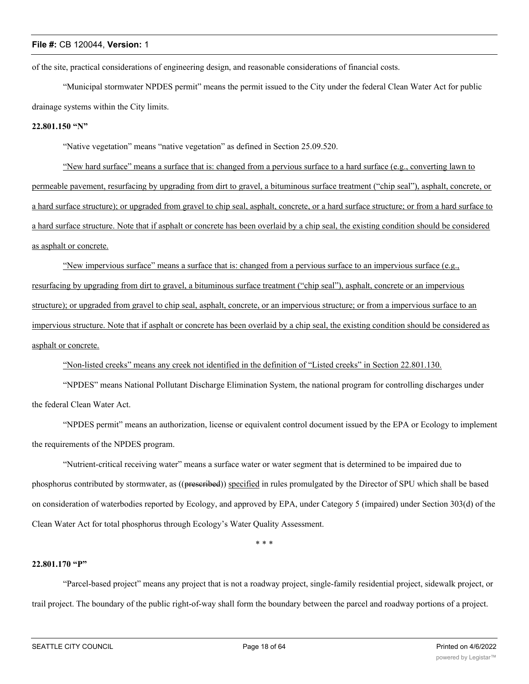of the site, practical considerations of engineering design, and reasonable considerations of financial costs.

"Municipal stormwater NPDES permit" means the permit issued to the City under the federal Clean Water Act for public drainage systems within the City limits.

#### **22.801.150 "N"**

"Native vegetation" means "native vegetation" as defined in Section 25.09.520.

"New hard surface" means a surface that is: changed from a pervious surface to a hard surface (e.g., converting lawn to permeable pavement, resurfacing by upgrading from dirt to gravel, a bituminous surface treatment ("chip seal"), asphalt, concrete, or a hard surface structure); or upgraded from gravel to chip seal, asphalt, concrete, or a hard surface structure; or from a hard surface to a hard surface structure. Note that if asphalt or concrete has been overlaid by a chip seal, the existing condition should be considered as asphalt or concrete.

"New impervious surface" means a surface that is: changed from a pervious surface to an impervious surface (e.g., resurfacing by upgrading from dirt to gravel, a bituminous surface treatment ("chip seal"), asphalt, concrete or an impervious structure); or upgraded from gravel to chip seal, asphalt, concrete, or an impervious structure; or from a impervious surface to an impervious structure. Note that if asphalt or concrete has been overlaid by a chip seal, the existing condition should be considered as asphalt or concrete.

"Non-listed creeks" means any creek not identified in the definition of "Listed creeks" in Section 22.801.130.

"NPDES" means National Pollutant Discharge Elimination System, the national program for controlling discharges under the federal Clean Water Act.

"NPDES permit" means an authorization, license or equivalent control document issued by the EPA or Ecology to implement the requirements of the NPDES program.

"Nutrient-critical receiving water" means a surface water or water segment that is determined to be impaired due to phosphorus contributed by stormwater, as ((preseribed)) specified in rules promulgated by the Director of SPU which shall be based on consideration of waterbodies reported by Ecology, and approved by EPA, under Category 5 (impaired) under Section 303(d) of the Clean Water Act for total phosphorus through Ecology's Water Quality Assessment.

\* \* \*

#### **22.801.170 "P"**

"Parcel-based project" means any project that is not a roadway project, single-family residential project, sidewalk project, or trail project. The boundary of the public right-of-way shall form the boundary between the parcel and roadway portions of a project.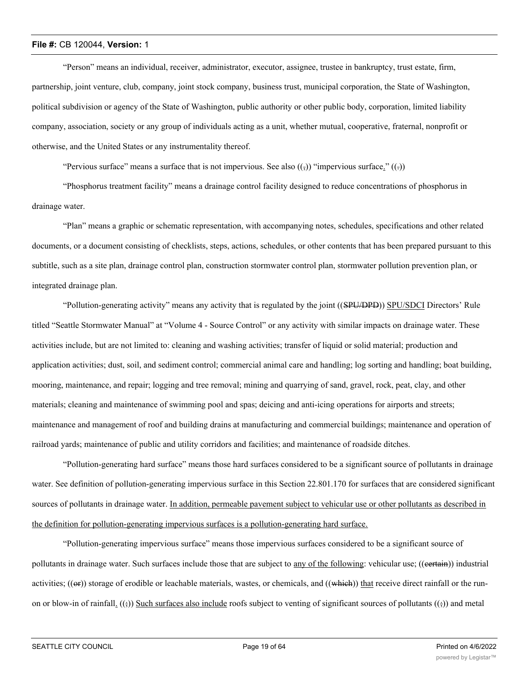"Person" means an individual, receiver, administrator, executor, assignee, trustee in bankruptcy, trust estate, firm, partnership, joint venture, club, company, joint stock company, business trust, municipal corporation, the State of Washington, political subdivision or agency of the State of Washington, public authority or other public body, corporation, limited liability company, association, society or any group of individuals acting as a unit, whether mutual, cooperative, fraternal, nonprofit or otherwise, and the United States or any instrumentality thereof.

"Pervious surface" means a surface that is not impervious. See also  $((\frac{1}{2}))$  "impervious surface."  $((\frac{1}{2}))$ 

"Phosphorus treatment facility" means a drainage control facility designed to reduce concentrations of phosphorus in drainage water.

"Plan" means a graphic or schematic representation, with accompanying notes, schedules, specifications and other related documents, or a document consisting of checklists, steps, actions, schedules, or other contents that has been prepared pursuant to this subtitle, such as a site plan, drainage control plan, construction stormwater control plan, stormwater pollution prevention plan, or integrated drainage plan.

"Pollution-generating activity" means any activity that is regulated by the joint ((SPU/DPD)) SPU/SDCI Directors' Rule titled "Seattle Stormwater Manual" at "Volume 4 - Source Control" or any activity with similar impacts on drainage water. These activities include, but are not limited to: cleaning and washing activities; transfer of liquid or solid material; production and application activities; dust, soil, and sediment control; commercial animal care and handling; log sorting and handling; boat building, mooring, maintenance, and repair; logging and tree removal; mining and quarrying of sand, gravel, rock, peat, clay, and other materials; cleaning and maintenance of swimming pool and spas; deicing and anti-icing operations for airports and streets; maintenance and management of roof and building drains at manufacturing and commercial buildings; maintenance and operation of railroad yards; maintenance of public and utility corridors and facilities; and maintenance of roadside ditches.

"Pollution-generating hard surface" means those hard surfaces considered to be a significant source of pollutants in drainage water. See definition of pollution-generating impervious surface in this Section 22.801.170 for surfaces that are considered significant sources of pollutants in drainage water. In addition, permeable pavement subject to vehicular use or other pollutants as described in the definition for pollution-generating impervious surfaces is a pollution-generating hard surface.

"Pollution-generating impervious surface" means those impervious surfaces considered to be a significant source of pollutants in drainage water. Such surfaces include those that are subject to any of the following: vehicular use; ((eertain)) industrial activities;  $((\Theta F))$  storage of erodible or leachable materials, wastes, or chemicals, and  $((\text{which}))$  that receive direct rainfall or the runon or blow-in of rainfall.  $((\frac{1}{2}))$  Such surfaces also include roofs subject to venting of significant sources of pollutants  $((\frac{1}{2}))$  and metal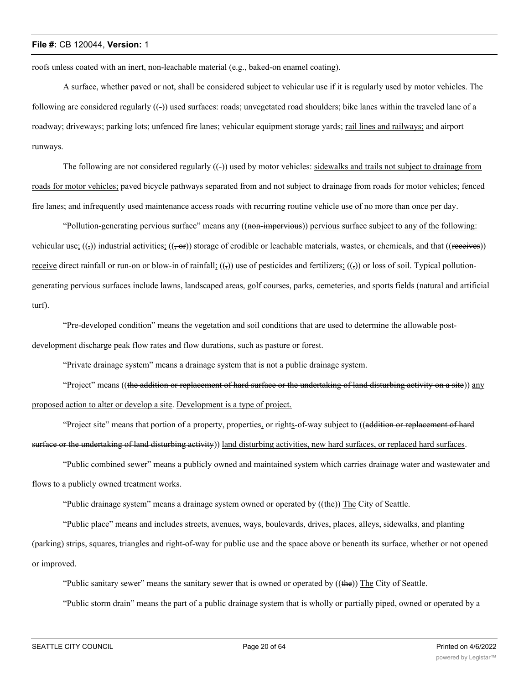roofs unless coated with an inert, non-leachable material (e.g., baked-on enamel coating).

A surface, whether paved or not, shall be considered subject to vehicular use if it is regularly used by motor vehicles. The following are considered regularly ((-)) used surfaces: roads; unvegetated road shoulders; bike lanes within the traveled lane of a roadway; driveways; parking lots; unfenced fire lanes; vehicular equipment storage yards; rail lines and railways; and airport runways.

The following are not considered regularly  $((-)$  used by motor vehicles: sidewalks and trails not subject to drainage from roads for motor vehicles; paved bicycle pathways separated from and not subject to drainage from roads for motor vehicles; fenced fire lanes; and infrequently used maintenance access roads with recurring routine vehicle use of no more than once per day.

"Pollution-generating pervious surface" means any ((non-impervious)) pervious surface subject to any of the following: vehicular use;  $((\frac{1}{2})$  industrial activities;  $((\frac{1}{2}or))$  storage of erodible or leachable materials, wastes, or chemicals, and that ((receives)) <u>receive</u> direct rainfall or run-on or blow-in of rainfall;  $((,))$  use of pesticides and fertilizers;  $((,))$  or loss of soil. Typical pollutiongenerating pervious surfaces include lawns, landscaped areas, golf courses, parks, cemeteries, and sports fields (natural and artificial turf).

"Pre-developed condition" means the vegetation and soil conditions that are used to determine the allowable postdevelopment discharge peak flow rates and flow durations, such as pasture or forest.

"Private drainage system" means a drainage system that is not a public drainage system.

"Project" means ((the addition or replacement of hard surface or the undertaking of land disturbing activity on a site)) any proposed action to alter or develop a site. Development is a type of project.

"Project site" means that portion of a property, properties, or rights-of-way subject to ((addition or replacement of hard surface or the undertaking of land disturbing activity) land disturbing activities, new hard surfaces, or replaced hard surfaces.

"Public combined sewer" means a publicly owned and maintained system which carries drainage water and wastewater and flows to a publicly owned treatment works.

"Public drainage system" means a drainage system owned or operated by ((the)) The City of Seattle.

"Public place" means and includes streets, avenues, ways, boulevards, drives, places, alleys, sidewalks, and planting (parking) strips, squares, triangles and right-of-way for public use and the space above or beneath its surface, whether or not opened or improved.

"Public sanitary sewer" means the sanitary sewer that is owned or operated by ((the)) The City of Seattle.

"Public storm drain" means the part of a public drainage system that is wholly or partially piped, owned or operated by a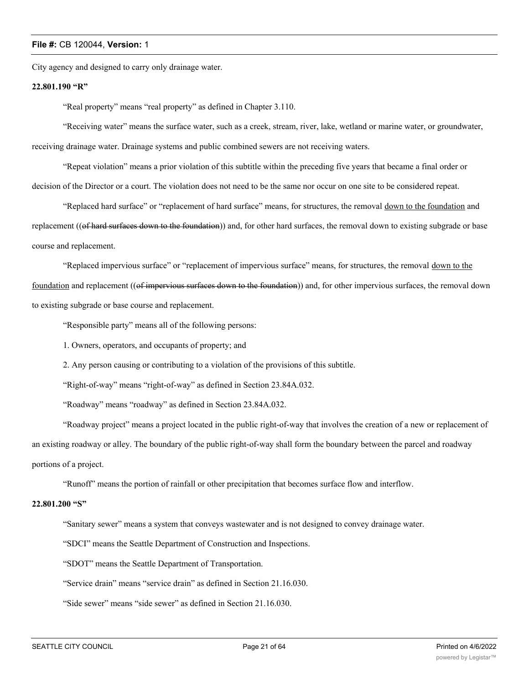City agency and designed to carry only drainage water.

#### **22.801.190 "R"**

"Real property" means "real property" as defined in Chapter 3.110.

"Receiving water" means the surface water, such as a creek, stream, river, lake, wetland or marine water, or groundwater, receiving drainage water. Drainage systems and public combined sewers are not receiving waters.

"Repeat violation" means a prior violation of this subtitle within the preceding five years that became a final order or decision of the Director or a court. The violation does not need to be the same nor occur on one site to be considered repeat.

"Replaced hard surface" or "replacement of hard surface" means, for structures, the removal down to the foundation and replacement ((of hard surfaces down to the foundation)) and, for other hard surfaces, the removal down to existing subgrade or base course and replacement.

"Replaced impervious surface" or "replacement of impervious surface" means, for structures, the removal down to the foundation and replacement ((of impervious surfaces down to the foundation)) and, for other impervious surfaces, the removal down to existing subgrade or base course and replacement.

"Responsible party" means all of the following persons:

1. Owners, operators, and occupants of property; and

2. Any person causing or contributing to a violation of the provisions of this subtitle.

"Right-of-way" means "right-of-way" as defined in Section 23.84A.032.

"Roadway" means "roadway" as defined in Section 23.84A.032.

"Roadway project" means a project located in the public right-of-way that involves the creation of a new or replacement of an existing roadway or alley. The boundary of the public right-of-way shall form the boundary between the parcel and roadway portions of a project.

"Runoff" means the portion of rainfall or other precipitation that becomes surface flow and interflow.

#### **22.801.200 "S"**

"Sanitary sewer" means a system that conveys wastewater and is not designed to convey drainage water.

"SDCI" means the Seattle Department of Construction and Inspections.

"SDOT" means the Seattle Department of Transportation.

"Service drain" means "service drain" as defined in Section 21.16.030.

"Side sewer" means "side sewer" as defined in Section 21.16.030.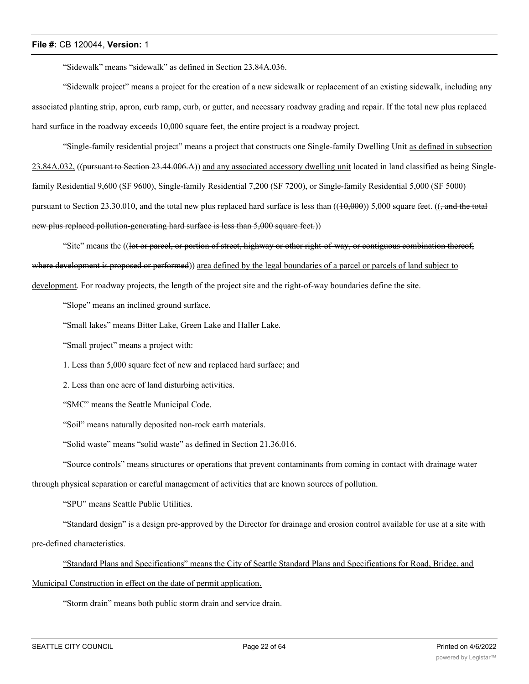"Sidewalk" means "sidewalk" as defined in Section 23.84A.036.

"Sidewalk project" means a project for the creation of a new sidewalk or replacement of an existing sidewalk, including any associated planting strip, apron, curb ramp, curb, or gutter, and necessary roadway grading and repair. If the total new plus replaced hard surface in the roadway exceeds 10,000 square feet, the entire project is a roadway project.

"Single-family residential project" means a project that constructs one Single-family Dwelling Unit as defined in subsection 23.84A.032, ((pursuant to Section 23.44.006.A)) and any associated accessory dwelling unit located in land classified as being Singlefamily Residential 9,600 (SF 9600), Single-family Residential 7,200 (SF 7200), or Single-family Residential 5,000 (SF 5000) pursuant to Section 23.30.010, and the total new plus replaced hard surface is less than  $((10,000))$  5,000 square feet.  $((\frac{10,000)}{2})$ new plus replaced pollution-generating hard surface is less than 5,000 square feet.)

"Site" means the ((lot or parcel, or portion of street, highway or other right-of-way, or contiguous combination thereof, where development is proposed or performed)) area defined by the legal boundaries of a parcel or parcels of land subject to development. For roadway projects, the length of the project site and the right-of-way boundaries define the site.

"Slope" means an inclined ground surface.

"Small lakes" means Bitter Lake, Green Lake and Haller Lake.

"Small project" means a project with:

1. Less than 5,000 square feet of new and replaced hard surface; and

2. Less than one acre of land disturbing activities.

"SMC" means the Seattle Municipal Code.

"Soil" means naturally deposited non-rock earth materials.

"Solid waste" means "solid waste" as defined in Section 21.36.016.

"Source controls" means structures or operations that prevent contaminants from coming in contact with drainage water

through physical separation or careful management of activities that are known sources of pollution.

"SPU" means Seattle Public Utilities.

"Standard design" is a design pre-approved by the Director for drainage and erosion control available for use at a site with pre-defined characteristics.

"Standard Plans and Specifications" means the City of Seattle Standard Plans and Specifications for Road, Bridge, and Municipal Construction in effect on the date of permit application.

"Storm drain" means both public storm drain and service drain.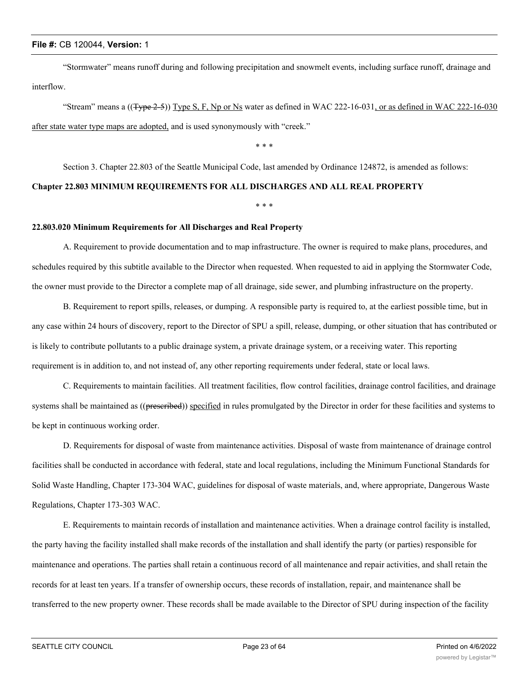"Stormwater" means runoff during and following precipitation and snowmelt events, including surface runoff, drainage and interflow.

"Stream" means a  $((Type 2-5))$  Type S, F, Np or Ns water as defined in WAC 222-16-031, or as defined in WAC 222-16-030 after state water type maps are adopted, and is used synonymously with "creek."

\* \* \*

Section 3. Chapter 22.803 of the Seattle Municipal Code, last amended by Ordinance 124872, is amended as follows:

#### **Chapter 22.803 MINIMUM REQUIREMENTS FOR ALL DISCHARGES AND ALL REAL PROPERTY**

\* \* \*

# **22.803.020 Minimum Requirements for All Discharges and Real Property**

A. Requirement to provide documentation and to map infrastructure. The owner is required to make plans, procedures, and schedules required by this subtitle available to the Director when requested. When requested to aid in applying the Stormwater Code, the owner must provide to the Director a complete map of all drainage, side sewer, and plumbing infrastructure on the property.

B. Requirement to report spills, releases, or dumping. A responsible party is required to, at the earliest possible time, but in any case within 24 hours of discovery, report to the Director of SPU a spill, release, dumping, or other situation that has contributed or is likely to contribute pollutants to a public drainage system, a private drainage system, or a receiving water. This reporting requirement is in addition to, and not instead of, any other reporting requirements under federal, state or local laws.

C. Requirements to maintain facilities. All treatment facilities, flow control facilities, drainage control facilities, and drainage systems shall be maintained as ((prescribed)) specified in rules promulgated by the Director in order for these facilities and systems to be kept in continuous working order.

D. Requirements for disposal of waste from maintenance activities. Disposal of waste from maintenance of drainage control facilities shall be conducted in accordance with federal, state and local regulations, including the Minimum Functional Standards for Solid Waste Handling, Chapter 173-304 WAC, guidelines for disposal of waste materials, and, where appropriate, Dangerous Waste Regulations, Chapter 173-303 WAC.

E. Requirements to maintain records of installation and maintenance activities. When a drainage control facility is installed, the party having the facility installed shall make records of the installation and shall identify the party (or parties) responsible for maintenance and operations. The parties shall retain a continuous record of all maintenance and repair activities, and shall retain the records for at least ten years. If a transfer of ownership occurs, these records of installation, repair, and maintenance shall be transferred to the new property owner. These records shall be made available to the Director of SPU during inspection of the facility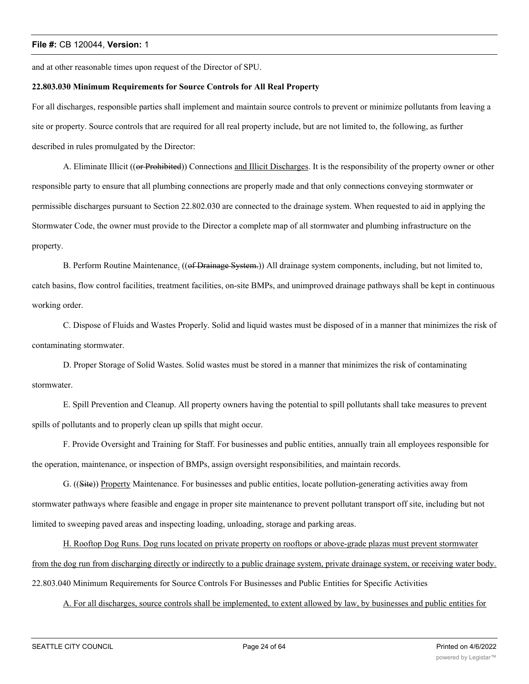and at other reasonable times upon request of the Director of SPU.

#### **22.803.030 Minimum Requirements for Source Controls for All Real Property**

For all discharges, responsible parties shall implement and maintain source controls to prevent or minimize pollutants from leaving a site or property. Source controls that are required for all real property include, but are not limited to, the following, as further described in rules promulgated by the Director:

A. Eliminate Illicit ((or Prohibited)) Connections and Illicit Discharges. It is the responsibility of the property owner or other responsible party to ensure that all plumbing connections are properly made and that only connections conveying stormwater or permissible discharges pursuant to Section 22.802.030 are connected to the drainage system. When requested to aid in applying the Stormwater Code, the owner must provide to the Director a complete map of all stormwater and plumbing infrastructure on the property.

B. Perform Routine Maintenance. ((of Drainage System.)) All drainage system components, including, but not limited to, catch basins, flow control facilities, treatment facilities, on-site BMPs, and unimproved drainage pathways shall be kept in continuous working order.

C. Dispose of Fluids and Wastes Properly. Solid and liquid wastes must be disposed of in a manner that minimizes the risk of contaminating stormwater.

D. Proper Storage of Solid Wastes. Solid wastes must be stored in a manner that minimizes the risk of contaminating stormwater.

E. Spill Prevention and Cleanup. All property owners having the potential to spill pollutants shall take measures to prevent spills of pollutants and to properly clean up spills that might occur.

F. Provide Oversight and Training for Staff. For businesses and public entities, annually train all employees responsible for the operation, maintenance, or inspection of BMPs, assign oversight responsibilities, and maintain records.

G. ((Site)) Property Maintenance. For businesses and public entities, locate pollution-generating activities away from stormwater pathways where feasible and engage in proper site maintenance to prevent pollutant transport off site, including but not limited to sweeping paved areas and inspecting loading, unloading, storage and parking areas.

H. Rooftop Dog Runs. Dog runs located on private property on rooftops or above-grade plazas must prevent stormwater from the dog run from discharging directly or indirectly to a public drainage system, private drainage system, or receiving water body. 22.803.040 Minimum Requirements for Source Controls For Businesses and Public Entities for Specific Activities

A. For all discharges, source controls shall be implemented, to extent allowed by law, by businesses and public entities for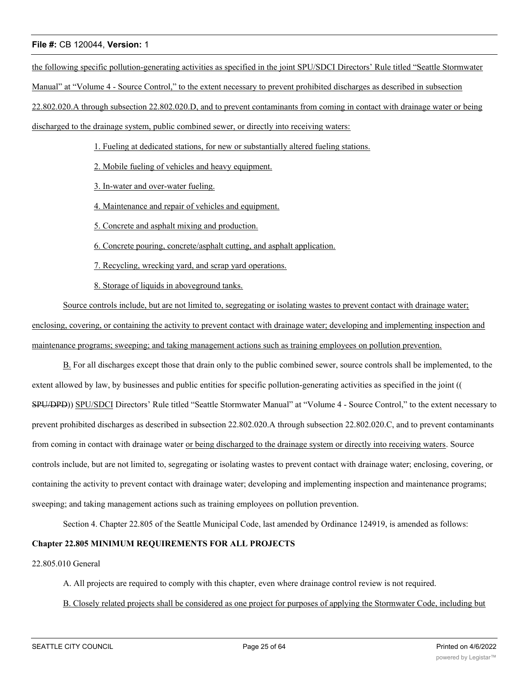the following specific pollution-generating activities as specified in the joint SPU/SDCI Directors' Rule titled "Seattle Stormwater Manual" at "Volume 4 - Source Control," to the extent necessary to prevent prohibited discharges as described in subsection 22.802.020.A through subsection 22.802.020.D, and to prevent contaminants from coming in contact with drainage water or being discharged to the drainage system, public combined sewer, or directly into receiving waters:

1. Fueling at dedicated stations, for new or substantially altered fueling stations.

2. Mobile fueling of vehicles and heavy equipment.

3. In-water and over-water fueling.

- 4. Maintenance and repair of vehicles and equipment.
- 5. Concrete and asphalt mixing and production.
- 6. Concrete pouring, concrete/asphalt cutting, and asphalt application.
- 7. Recycling, wrecking yard, and scrap yard operations.

8. Storage of liquids in aboveground tanks.

Source controls include, but are not limited to, segregating or isolating wastes to prevent contact with drainage water; enclosing, covering, or containing the activity to prevent contact with drainage water; developing and implementing inspection and maintenance programs; sweeping; and taking management actions such as training employees on pollution prevention.

B. For all discharges except those that drain only to the public combined sewer, source controls shall be implemented, to the extent allowed by law, by businesses and public entities for specific pollution-generating activities as specified in the joint (( SPU/DPD)) SPU/SDCI Directors' Rule titled "Seattle Stormwater Manual" at "Volume 4 - Source Control," to the extent necessary to prevent prohibited discharges as described in subsection 22.802.020.A through subsection 22.802.020.C, and to prevent contaminants from coming in contact with drainage water or being discharged to the drainage system or directly into receiving waters. Source controls include, but are not limited to, segregating or isolating wastes to prevent contact with drainage water; enclosing, covering, or containing the activity to prevent contact with drainage water; developing and implementing inspection and maintenance programs; sweeping; and taking management actions such as training employees on pollution prevention.

Section 4. Chapter 22.805 of the Seattle Municipal Code, last amended by Ordinance 124919, is amended as follows:

#### **Chapter 22.805 MINIMUM REQUIREMENTS FOR ALL PROJECTS**

# 22.805.010 General

A. All projects are required to comply with this chapter, even where drainage control review is not required.

B. Closely related projects shall be considered as one project for purposes of applying the Stormwater Code, including but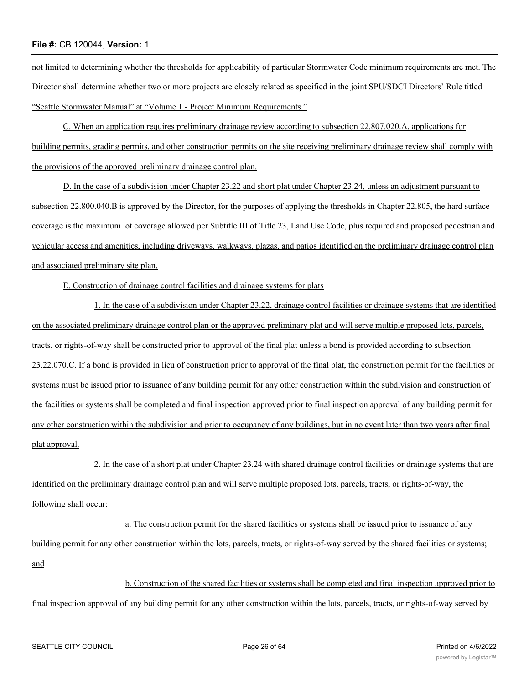not limited to determining whether the thresholds for applicability of particular Stormwater Code minimum requirements are met. The Director shall determine whether two or more projects are closely related as specified in the joint SPU/SDCI Directors' Rule titled "Seattle Stormwater Manual" at "Volume 1 - Project Minimum Requirements."

C. When an application requires preliminary drainage review according to subsection 22.807.020.A, applications for building permits, grading permits, and other construction permits on the site receiving preliminary drainage review shall comply with the provisions of the approved preliminary drainage control plan.

D. In the case of a subdivision under Chapter 23.22 and short plat under Chapter 23.24, unless an adjustment pursuant to subsection 22.800.040.B is approved by the Director, for the purposes of applying the thresholds in Chapter 22.805, the hard surface coverage is the maximum lot coverage allowed per Subtitle III of Title 23, Land Use Code, plus required and proposed pedestrian and vehicular access and amenities, including driveways, walkways, plazas, and patios identified on the preliminary drainage control plan and associated preliminary site plan.

# E. Construction of drainage control facilities and drainage systems for plats

1. In the case of a subdivision under Chapter 23.22, drainage control facilities or drainage systems that are identified on the associated preliminary drainage control plan or the approved preliminary plat and will serve multiple proposed lots, parcels, tracts, or rights-of-way shall be constructed prior to approval of the final plat unless a bond is provided according to subsection 23.22.070.C. If a bond is provided in lieu of construction prior to approval of the final plat, the construction permit for the facilities or systems must be issued prior to issuance of any building permit for any other construction within the subdivision and construction of the facilities or systems shall be completed and final inspection approved prior to final inspection approval of any building permit for any other construction within the subdivision and prior to occupancy of any buildings, but in no event later than two years after final plat approval.

2. In the case of a short plat under Chapter 23.24 with shared drainage control facilities or drainage systems that are identified on the preliminary drainage control plan and will serve multiple proposed lots, parcels, tracts, or rights-of-way, the following shall occur:

a. The construction permit for the shared facilities or systems shall be issued prior to issuance of any building permit for any other construction within the lots, parcels, tracts, or rights-of-way served by the shared facilities or systems; and

b. Construction of the shared facilities or systems shall be completed and final inspection approved prior to final inspection approval of any building permit for any other construction within the lots, parcels, tracts, or rights-of-way served by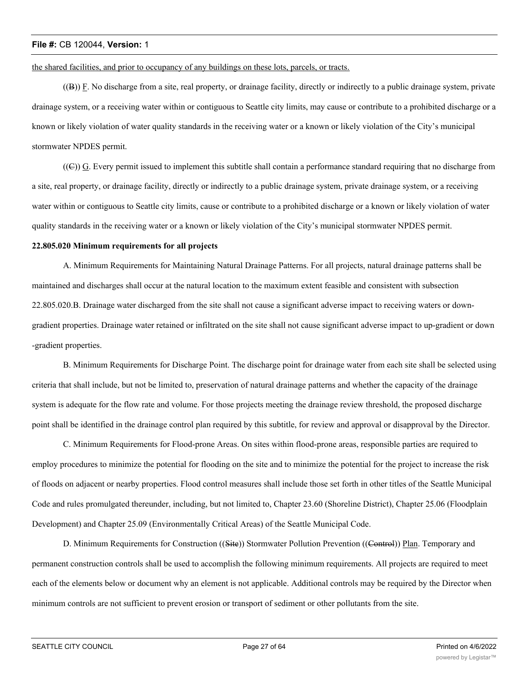the shared facilities, and prior to occupancy of any buildings on these lots, parcels, or tracts.

((B)) F. No discharge from a site, real property, or drainage facility, directly or indirectly to a public drainage system, private drainage system, or a receiving water within or contiguous to Seattle city limits, may cause or contribute to a prohibited discharge or a known or likely violation of water quality standards in the receiving water or a known or likely violation of the City's municipal stormwater NPDES permit.

 $((\n\epsilon))$  G. Every permit issued to implement this subtitle shall contain a performance standard requiring that no discharge from a site, real property, or drainage facility, directly or indirectly to a public drainage system, private drainage system, or a receiving water within or contiguous to Seattle city limits, cause or contribute to a prohibited discharge or a known or likely violation of water quality standards in the receiving water or a known or likely violation of the City's municipal stormwater NPDES permit.

#### **22.805.020 Minimum requirements for all projects**

A. Minimum Requirements for Maintaining Natural Drainage Patterns. For all projects, natural drainage patterns shall be maintained and discharges shall occur at the natural location to the maximum extent feasible and consistent with subsection 22.805.020.B. Drainage water discharged from the site shall not cause a significant adverse impact to receiving waters or downgradient properties. Drainage water retained or infiltrated on the site shall not cause significant adverse impact to up-gradient or down -gradient properties.

B. Minimum Requirements for Discharge Point. The discharge point for drainage water from each site shall be selected using criteria that shall include, but not be limited to, preservation of natural drainage patterns and whether the capacity of the drainage system is adequate for the flow rate and volume. For those projects meeting the drainage review threshold, the proposed discharge point shall be identified in the drainage control plan required by this subtitle, for review and approval or disapproval by the Director.

C. Minimum Requirements for Flood-prone Areas. On sites within flood-prone areas, responsible parties are required to employ procedures to minimize the potential for flooding on the site and to minimize the potential for the project to increase the risk of floods on adjacent or nearby properties. Flood control measures shall include those set forth in other titles of the Seattle Municipal Code and rules promulgated thereunder, including, but not limited to, Chapter 23.60 (Shoreline District), Chapter 25.06 (Floodplain Development) and Chapter 25.09 (Environmentally Critical Areas) of the Seattle Municipal Code.

D. Minimum Requirements for Construction ((Site)) Stormwater Pollution Prevention ((Control)) Plan. Temporary and permanent construction controls shall be used to accomplish the following minimum requirements. All projects are required to meet each of the elements below or document why an element is not applicable. Additional controls may be required by the Director when minimum controls are not sufficient to prevent erosion or transport of sediment or other pollutants from the site.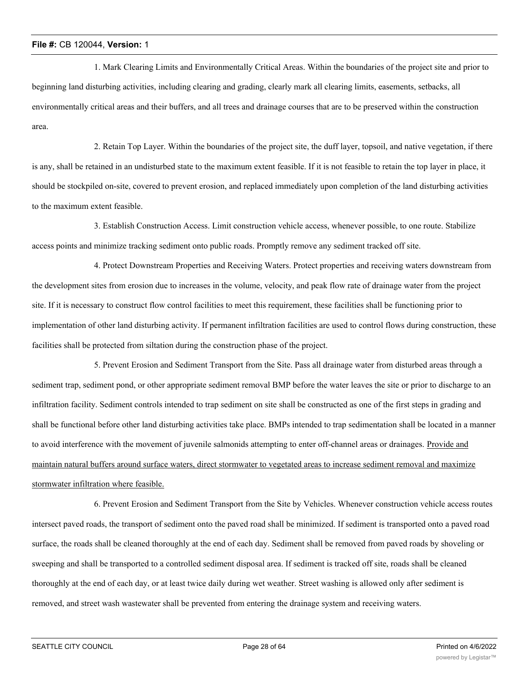1. Mark Clearing Limits and Environmentally Critical Areas. Within the boundaries of the project site and prior to beginning land disturbing activities, including clearing and grading, clearly mark all clearing limits, easements, setbacks, all environmentally critical areas and their buffers, and all trees and drainage courses that are to be preserved within the construction area.

2. Retain Top Layer. Within the boundaries of the project site, the duff layer, topsoil, and native vegetation, if there is any, shall be retained in an undisturbed state to the maximum extent feasible. If it is not feasible to retain the top layer in place, it should be stockpiled on-site, covered to prevent erosion, and replaced immediately upon completion of the land disturbing activities to the maximum extent feasible.

3. Establish Construction Access. Limit construction vehicle access, whenever possible, to one route. Stabilize access points and minimize tracking sediment onto public roads. Promptly remove any sediment tracked off site.

4. Protect Downstream Properties and Receiving Waters. Protect properties and receiving waters downstream from the development sites from erosion due to increases in the volume, velocity, and peak flow rate of drainage water from the project site. If it is necessary to construct flow control facilities to meet this requirement, these facilities shall be functioning prior to implementation of other land disturbing activity. If permanent infiltration facilities are used to control flows during construction, these facilities shall be protected from siltation during the construction phase of the project.

5. Prevent Erosion and Sediment Transport from the Site. Pass all drainage water from disturbed areas through a sediment trap, sediment pond, or other appropriate sediment removal BMP before the water leaves the site or prior to discharge to an infiltration facility. Sediment controls intended to trap sediment on site shall be constructed as one of the first steps in grading and shall be functional before other land disturbing activities take place. BMPs intended to trap sedimentation shall be located in a manner to avoid interference with the movement of juvenile salmonids attempting to enter off-channel areas or drainages. Provide and maintain natural buffers around surface waters, direct stormwater to vegetated areas to increase sediment removal and maximize stormwater infiltration where feasible.

6. Prevent Erosion and Sediment Transport from the Site by Vehicles. Whenever construction vehicle access routes intersect paved roads, the transport of sediment onto the paved road shall be minimized. If sediment is transported onto a paved road surface, the roads shall be cleaned thoroughly at the end of each day. Sediment shall be removed from paved roads by shoveling or sweeping and shall be transported to a controlled sediment disposal area. If sediment is tracked off site, roads shall be cleaned thoroughly at the end of each day, or at least twice daily during wet weather. Street washing is allowed only after sediment is removed, and street wash wastewater shall be prevented from entering the drainage system and receiving waters.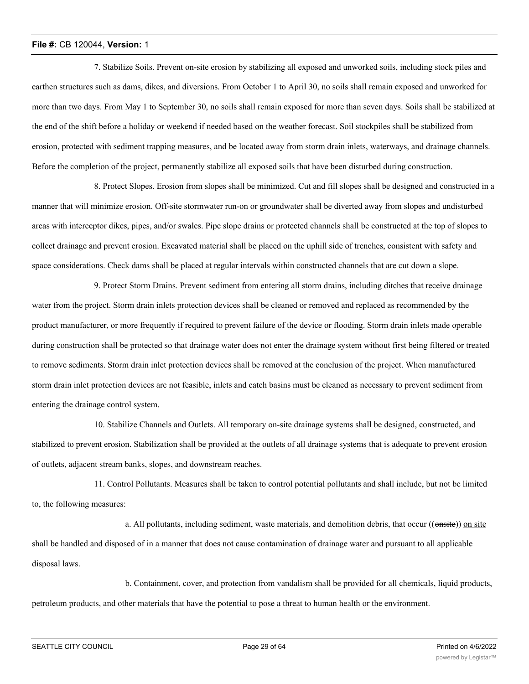7. Stabilize Soils. Prevent on-site erosion by stabilizing all exposed and unworked soils, including stock piles and earthen structures such as dams, dikes, and diversions. From October 1 to April 30, no soils shall remain exposed and unworked for more than two days. From May 1 to September 30, no soils shall remain exposed for more than seven days. Soils shall be stabilized at the end of the shift before a holiday or weekend if needed based on the weather forecast. Soil stockpiles shall be stabilized from erosion, protected with sediment trapping measures, and be located away from storm drain inlets, waterways, and drainage channels. Before the completion of the project, permanently stabilize all exposed soils that have been disturbed during construction.

8. Protect Slopes. Erosion from slopes shall be minimized. Cut and fill slopes shall be designed and constructed in a manner that will minimize erosion. Off-site stormwater run-on or groundwater shall be diverted away from slopes and undisturbed areas with interceptor dikes, pipes, and/or swales. Pipe slope drains or protected channels shall be constructed at the top of slopes to collect drainage and prevent erosion. Excavated material shall be placed on the uphill side of trenches, consistent with safety and space considerations. Check dams shall be placed at regular intervals within constructed channels that are cut down a slope.

9. Protect Storm Drains. Prevent sediment from entering all storm drains, including ditches that receive drainage water from the project. Storm drain inlets protection devices shall be cleaned or removed and replaced as recommended by the product manufacturer, or more frequently if required to prevent failure of the device or flooding. Storm drain inlets made operable during construction shall be protected so that drainage water does not enter the drainage system without first being filtered or treated to remove sediments. Storm drain inlet protection devices shall be removed at the conclusion of the project. When manufactured storm drain inlet protection devices are not feasible, inlets and catch basins must be cleaned as necessary to prevent sediment from entering the drainage control system.

10. Stabilize Channels and Outlets. All temporary on-site drainage systems shall be designed, constructed, and stabilized to prevent erosion. Stabilization shall be provided at the outlets of all drainage systems that is adequate to prevent erosion of outlets, adjacent stream banks, slopes, and downstream reaches.

11. Control Pollutants. Measures shall be taken to control potential pollutants and shall include, but not be limited to, the following measures:

a. All pollutants, including sediment, waste materials, and demolition debris, that occur ((onsite)) on site shall be handled and disposed of in a manner that does not cause contamination of drainage water and pursuant to all applicable disposal laws.

b. Containment, cover, and protection from vandalism shall be provided for all chemicals, liquid products, petroleum products, and other materials that have the potential to pose a threat to human health or the environment.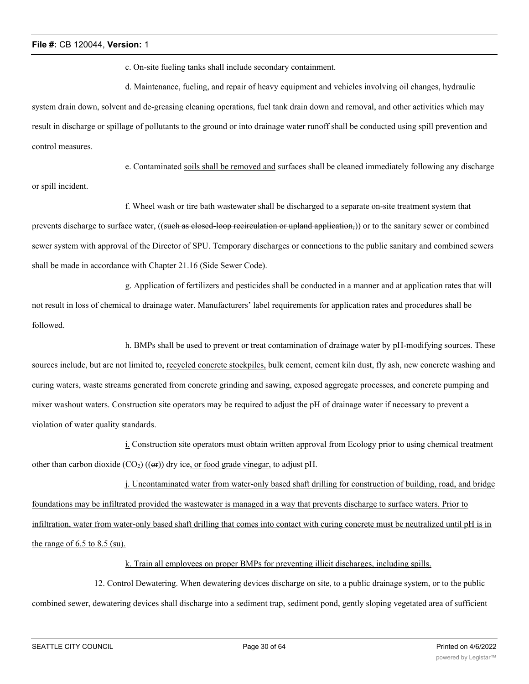c. On-site fueling tanks shall include secondary containment.

d. Maintenance, fueling, and repair of heavy equipment and vehicles involving oil changes, hydraulic system drain down, solvent and de-greasing cleaning operations, fuel tank drain down and removal, and other activities which may result in discharge or spillage of pollutants to the ground or into drainage water runoff shall be conducted using spill prevention and control measures.

e. Contaminated soils shall be removed and surfaces shall be cleaned immediately following any discharge or spill incident.

f. Wheel wash or tire bath wastewater shall be discharged to a separate on-site treatment system that prevents discharge to surface water, ((such as closed-loop recirculation or upland application,)) or to the sanitary sewer or combined sewer system with approval of the Director of SPU. Temporary discharges or connections to the public sanitary and combined sewers shall be made in accordance with Chapter 21.16 (Side Sewer Code).

g. Application of fertilizers and pesticides shall be conducted in a manner and at application rates that will not result in loss of chemical to drainage water. Manufacturers' label requirements for application rates and procedures shall be followed.

h. BMPs shall be used to prevent or treat contamination of drainage water by pH-modifying sources. These sources include, but are not limited to, recycled concrete stockpiles, bulk cement, cement kiln dust, fly ash, new concrete washing and curing waters, waste streams generated from concrete grinding and sawing, exposed aggregate processes, and concrete pumping and mixer washout waters. Construction site operators may be required to adjust the pH of drainage water if necessary to prevent a violation of water quality standards.

i. Construction site operators must obtain written approval from Ecology prior to using chemical treatment other than carbon dioxide  $(CO_2)$  (( $\Theta$ )) dry ice, or food grade vinegar, to adjust pH.

j. Uncontaminated water from water-only based shaft drilling for construction of building, road, and bridge foundations may be infiltrated provided the wastewater is managed in a way that prevents discharge to surface waters. Prior to infiltration, water from water-only based shaft drilling that comes into contact with curing concrete must be neutralized until pH is in the range of  $6.5$  to  $8.5$  (su).

k. Train all employees on proper BMPs for preventing illicit discharges, including spills.

12. Control Dewatering. When dewatering devices discharge on site, to a public drainage system, or to the public combined sewer, dewatering devices shall discharge into a sediment trap, sediment pond, gently sloping vegetated area of sufficient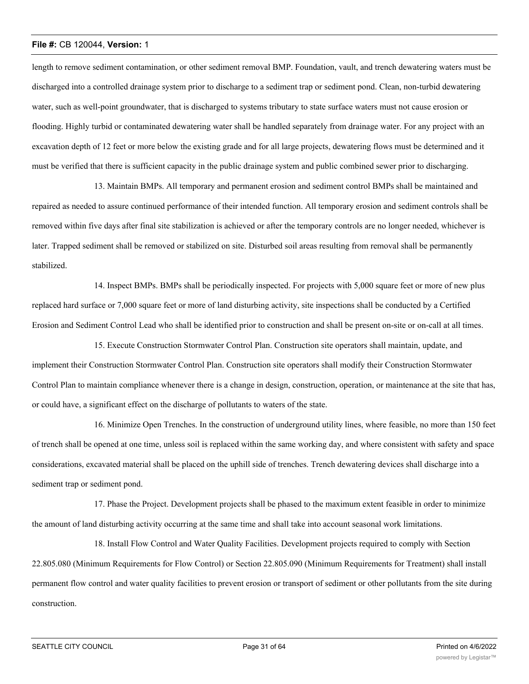length to remove sediment contamination, or other sediment removal BMP. Foundation, vault, and trench dewatering waters must be discharged into a controlled drainage system prior to discharge to a sediment trap or sediment pond. Clean, non-turbid dewatering water, such as well-point groundwater, that is discharged to systems tributary to state surface waters must not cause erosion or flooding. Highly turbid or contaminated dewatering water shall be handled separately from drainage water. For any project with an excavation depth of 12 feet or more below the existing grade and for all large projects, dewatering flows must be determined and it must be verified that there is sufficient capacity in the public drainage system and public combined sewer prior to discharging.

13. Maintain BMPs. All temporary and permanent erosion and sediment control BMPs shall be maintained and repaired as needed to assure continued performance of their intended function. All temporary erosion and sediment controls shall be removed within five days after final site stabilization is achieved or after the temporary controls are no longer needed, whichever is later. Trapped sediment shall be removed or stabilized on site. Disturbed soil areas resulting from removal shall be permanently stabilized.

14. Inspect BMPs. BMPs shall be periodically inspected. For projects with 5,000 square feet or more of new plus replaced hard surface or 7,000 square feet or more of land disturbing activity, site inspections shall be conducted by a Certified Erosion and Sediment Control Lead who shall be identified prior to construction and shall be present on-site or on-call at all times.

15. Execute Construction Stormwater Control Plan. Construction site operators shall maintain, update, and implement their Construction Stormwater Control Plan. Construction site operators shall modify their Construction Stormwater Control Plan to maintain compliance whenever there is a change in design, construction, operation, or maintenance at the site that has, or could have, a significant effect on the discharge of pollutants to waters of the state.

16. Minimize Open Trenches. In the construction of underground utility lines, where feasible, no more than 150 feet of trench shall be opened at one time, unless soil is replaced within the same working day, and where consistent with safety and space considerations, excavated material shall be placed on the uphill side of trenches. Trench dewatering devices shall discharge into a sediment trap or sediment pond.

17. Phase the Project. Development projects shall be phased to the maximum extent feasible in order to minimize the amount of land disturbing activity occurring at the same time and shall take into account seasonal work limitations.

18. Install Flow Control and Water Quality Facilities. Development projects required to comply with Section 22.805.080 (Minimum Requirements for Flow Control) or Section 22.805.090 (Minimum Requirements for Treatment) shall install permanent flow control and water quality facilities to prevent erosion or transport of sediment or other pollutants from the site during construction.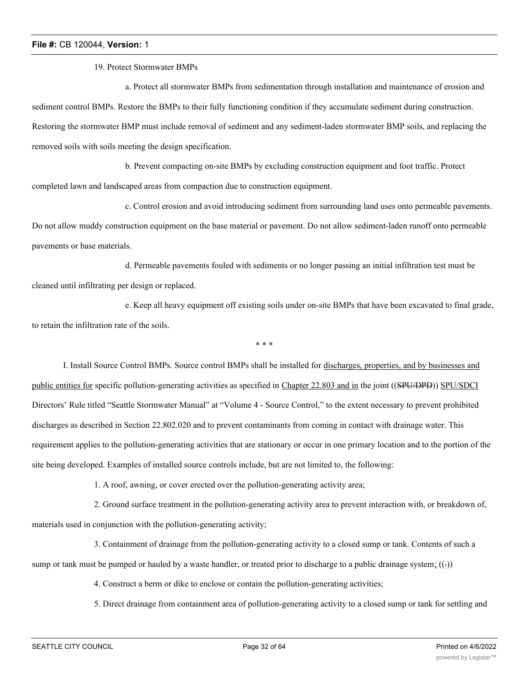19. Protect Stormwater BMPs

a. Protect all stormwater BMPs from sedimentation through installation and maintenance of erosion and sediment control BMPs. Restore the BMPs to their fully functioning condition if they accumulate sediment during construction. Restoring the stormwater BMP must include removal of sediment and any sediment-laden stormwater BMP soils, and replacing the removed soils with soils meeting the design specification.

b. Prevent compacting on-site BMPs by excluding construction equipment and foot traffic. Protect

completed lawn and landscaped areas from compaction due to construction equipment.

c. Control erosion and avoid introducing sediment from surrounding land uses onto permeable pavements. Do not allow muddy construction equipment on the base material or pavement. Do not allow sediment-laden runoff onto permeable pavements or base materials.

d. Permeable pavements fouled with sediments or no longer passing an initial infiltration test must be cleaned until infiltrating per design or replaced.

e. Keep all heavy equipment off existing soils under on-site BMPs that have been excavated to final grade, to retain the infiltration rate of the soils.

\* \* \*

I. Install Source Control BMPs. Source control BMPs shall be installed for discharges, properties, and by businesses and public entities for specific pollution-generating activities as specified in Chapter 22.803 and in the joint ((SPU/DPD)) SPU/SDCI Directors' Rule titled "Seattle Stormwater Manual" at "Volume 4 - Source Control," to the extent necessary to prevent prohibited discharges as described in Section 22.802.020 and to prevent contaminants from coming in contact with drainage water. This requirement applies to the pollution-generating activities that are stationary or occur in one primary location and to the portion of the site being developed. Examples of installed source controls include, but are not limited to, the following:

1. A roof, awning, or cover erected over the pollution-generating activity area;

2. Ground surface treatment in the pollution-generating activity area to prevent interaction with, or breakdown of, materials used in conjunction with the pollution-generating activity;

3. Containment of drainage from the pollution-generating activity to a closed sump or tank. Contents of such a sump or tank must be pumped or hauled by a waste handler, or treated prior to discharge to a public drainage system; ((-))

4. Construct a berm or dike to enclose or contain the pollution-generating activities;

5. Direct drainage from containment area of pollution-generating activity to a closed sump or tank for settling and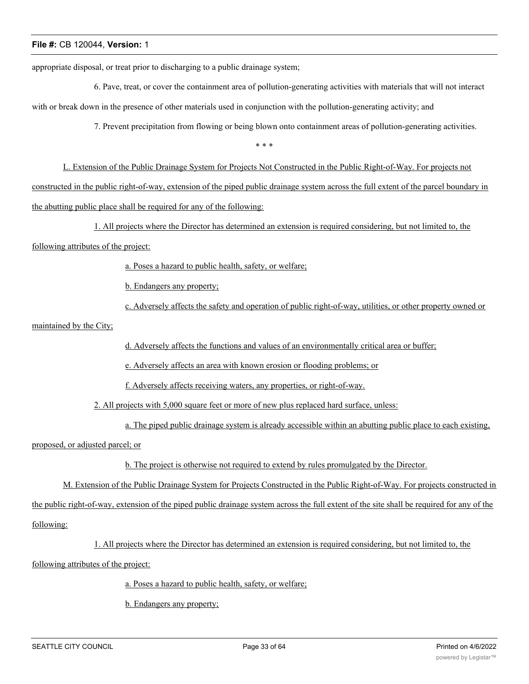appropriate disposal, or treat prior to discharging to a public drainage system;

6. Pave, treat, or cover the containment area of pollution-generating activities with materials that will not interact with or break down in the presence of other materials used in conjunction with the pollution-generating activity; and

7. Prevent precipitation from flowing or being blown onto containment areas of pollution-generating activities.

\* \* \*

L. Extension of the Public Drainage System for Projects Not Constructed in the Public Right-of-Way. For projects not constructed in the public right-of-way, extension of the piped public drainage system across the full extent of the parcel boundary in the abutting public place shall be required for any of the following:

1. All projects where the Director has determined an extension is required considering, but not limited to, the

following attributes of the project:

a. Poses a hazard to public health, safety, or welfare;

b. Endangers any property;

c. Adversely affects the safety and operation of public right-of-way, utilities, or other property owned or

maintained by the City;

d. Adversely affects the functions and values of an environmentally critical area or buffer;

e. Adversely affects an area with known erosion or flooding problems; or

f. Adversely affects receiving waters, any properties, or right-of-way.

2. All projects with 5,000 square feet or more of new plus replaced hard surface, unless:

a. The piped public drainage system is already accessible within an abutting public place to each existing,

proposed, or adjusted parcel; or

b. The project is otherwise not required to extend by rules promulgated by the Director.

M. Extension of the Public Drainage System for Projects Constructed in the Public Right-of-Way. For projects constructed in

the public right-of-way, extension of the piped public drainage system across the full extent of the site shall be required for any of the

following:

1. All projects where the Director has determined an extension is required considering, but not limited to, the

following attributes of the project:

a. Poses a hazard to public health, safety, or welfare;

b. Endangers any property;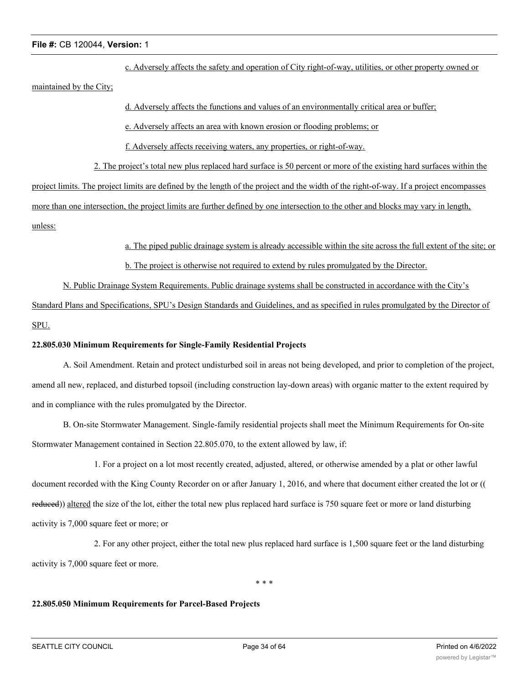c. Adversely affects the safety and operation of City right-of-way, utilities, or other property owned or

maintained by the City;

# d. Adversely affects the functions and values of an environmentally critical area or buffer;

e. Adversely affects an area with known erosion or flooding problems; or

f. Adversely affects receiving waters, any properties, or right-of-way.

2. The project's total new plus replaced hard surface is 50 percent or more of the existing hard surfaces within the

project limits. The project limits are defined by the length of the project and the width of the right-of-way. If a project encompasses

more than one intersection, the project limits are further defined by one intersection to the other and blocks may vary in length,

unless:

a. The piped public drainage system is already accessible within the site across the full extent of the site; or

b. The project is otherwise not required to extend by rules promulgated by the Director.

N. Public Drainage System Requirements. Public drainage systems shall be constructed in accordance with the City's

Standard Plans and Specifications, SPU's Design Standards and Guidelines, and as specified in rules promulgated by the Director of SPU.

# **22.805.030 Minimum Requirements for Single-Family Residential Projects**

A. Soil Amendment. Retain and protect undisturbed soil in areas not being developed, and prior to completion of the project, amend all new, replaced, and disturbed topsoil (including construction lay-down areas) with organic matter to the extent required by and in compliance with the rules promulgated by the Director.

B. On-site Stormwater Management. Single-family residential projects shall meet the Minimum Requirements for On-site Stormwater Management contained in Section 22.805.070, to the extent allowed by law, if:

1. For a project on a lot most recently created, adjusted, altered, or otherwise amended by a plat or other lawful document recorded with the King County Recorder on or after January 1, 2016, and where that document either created the lot or (( reduced)) altered the size of the lot, either the total new plus replaced hard surface is 750 square feet or more or land disturbing activity is 7,000 square feet or more; or

2. For any other project, either the total new plus replaced hard surface is 1,500 square feet or the land disturbing activity is 7,000 square feet or more.

\* \* \*

#### **22.805.050 Minimum Requirements for Parcel-Based Projects**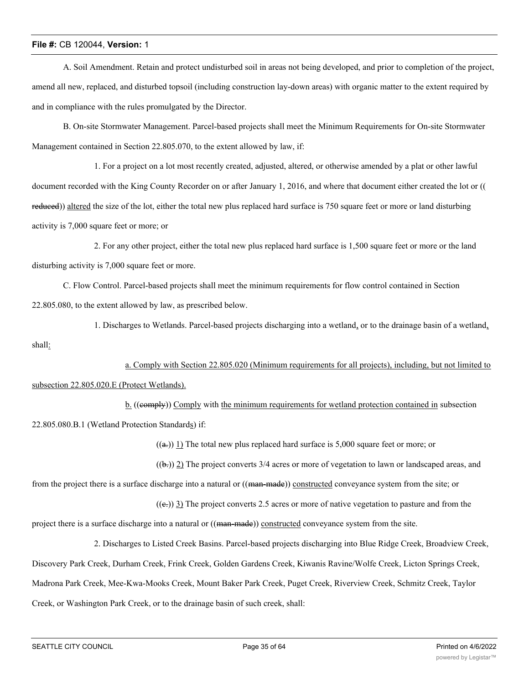A. Soil Amendment. Retain and protect undisturbed soil in areas not being developed, and prior to completion of the project, amend all new, replaced, and disturbed topsoil (including construction lay-down areas) with organic matter to the extent required by and in compliance with the rules promulgated by the Director.

B. On-site Stormwater Management. Parcel-based projects shall meet the Minimum Requirements for On-site Stormwater Management contained in Section 22.805.070, to the extent allowed by law, if:

1. For a project on a lot most recently created, adjusted, altered, or otherwise amended by a plat or other lawful document recorded with the King County Recorder on or after January 1, 2016, and where that document either created the lot or (( reduced)) altered the size of the lot, either the total new plus replaced hard surface is 750 square feet or more or land disturbing activity is 7,000 square feet or more; or

2. For any other project, either the total new plus replaced hard surface is 1,500 square feet or more or the land disturbing activity is 7,000 square feet or more.

C. Flow Control. Parcel-based projects shall meet the minimum requirements for flow control contained in Section 22.805.080, to the extent allowed by law, as prescribed below.

1. Discharges to Wetlands. Parcel-based projects discharging into a wetland, or to the drainage basin of a wetland, shall:

a. Comply with Section 22.805.020 (Minimum requirements for all projects), including, but not limited to subsection 22.805.020.E (Protect Wetlands).

b. ((comply)) Comply with the minimum requirements for wetland protection contained in subsection 22.805.080.B.1 (Wetland Protection Standards) if:

 $((a))$  1) The total new plus replaced hard surface is 5,000 square feet or more; or

 $((b))$  2) The project converts 3/4 acres or more of vegetation to lawn or landscaped areas, and

from the project there is a surface discharge into a natural or ((man-made)) constructed conveyance system from the site; or

 $((e))$  3) The project converts 2.5 acres or more of native vegetation to pasture and from the

project there is a surface discharge into a natural or ((man-made)) constructed conveyance system from the site.

2. Discharges to Listed Creek Basins. Parcel-based projects discharging into Blue Ridge Creek, Broadview Creek, Discovery Park Creek, Durham Creek, Frink Creek, Golden Gardens Creek, Kiwanis Ravine/Wolfe Creek, Licton Springs Creek, Madrona Park Creek, Mee-Kwa-Mooks Creek, Mount Baker Park Creek, Puget Creek, Riverview Creek, Schmitz Creek, Taylor Creek, or Washington Park Creek, or to the drainage basin of such creek, shall: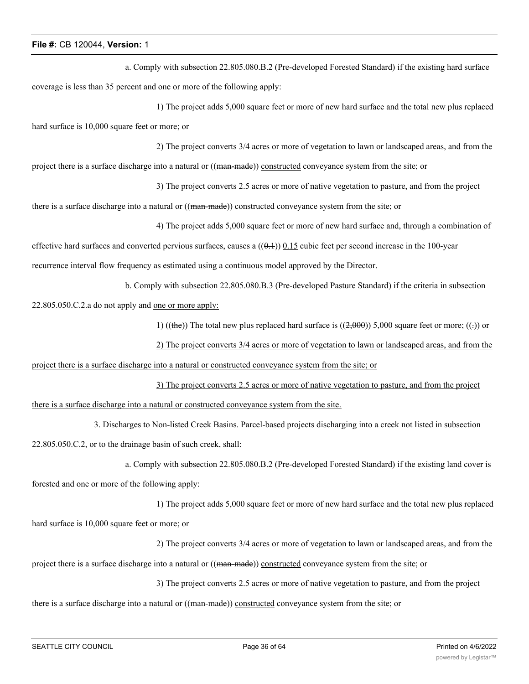a. Comply with subsection 22.805.080.B.2 (Pre-developed Forested Standard) if the existing hard surface coverage is less than 35 percent and one or more of the following apply:

1) The project adds 5,000 square feet or more of new hard surface and the total new plus replaced hard surface is 10,000 square feet or more; or

2) The project converts 3/4 acres or more of vegetation to lawn or landscaped areas, and from the project there is a surface discharge into a natural or ((man-made)) constructed conveyance system from the site; or

3) The project converts 2.5 acres or more of native vegetation to pasture, and from the project

there is a surface discharge into a natural or ((man-made)) constructed conveyance system from the site; or

4) The project adds 5,000 square feet or more of new hard surface and, through a combination of

effective hard surfaces and converted pervious surfaces, causes a  $((0.1))$  0.15 cubic feet per second increase in the 100-year recurrence interval flow frequency as estimated using a continuous model approved by the Director.

b. Comply with subsection 22.805.080.B.3 (Pre-developed Pasture Standard) if the criteria in subsection

22.805.050.C.2.a do not apply and one or more apply:

1) ((the)) The total new plus replaced hard surface is  $((2,000))$  5,000 square feet or more; ((-)) or

2) The project converts 3/4 acres or more of vegetation to lawn or landscaped areas, and from the project there is a surface discharge into a natural or constructed conveyance system from the site; or

3) The project converts 2.5 acres or more of native vegetation to pasture, and from the project there is a surface discharge into a natural or constructed conveyance system from the site.

3. Discharges to Non-listed Creek Basins. Parcel-based projects discharging into a creek not listed in subsection 22.805.050.C.2, or to the drainage basin of such creek, shall:

```
a. Comply with subsection 22.805.080.B.2 (Pre-developed Forested Standard) if the existing land cover is
```
forested and one or more of the following apply:

1) The project adds 5,000 square feet or more of new hard surface and the total new plus replaced hard surface is 10,000 square feet or more; or

2) The project converts 3/4 acres or more of vegetation to lawn or landscaped areas, and from the project there is a surface discharge into a natural or ((man-made)) constructed conveyance system from the site; or

3) The project converts 2.5 acres or more of native vegetation to pasture, and from the project

there is a surface discharge into a natural or ((man-made)) constructed conveyance system from the site; or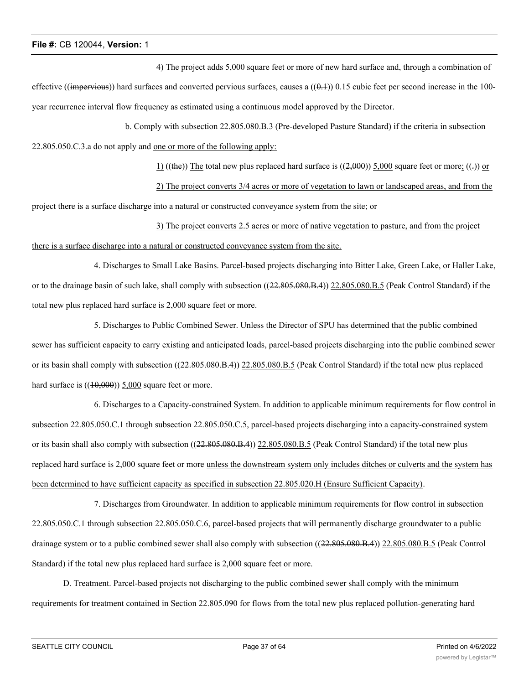4) The project adds 5,000 square feet or more of new hard surface and, through a combination of effective ((impervious)) hard surfaces and converted pervious surfaces, causes a  $((0,1))$  0.15 cubic feet per second increase in the 100year recurrence interval flow frequency as estimated using a continuous model approved by the Director.

b. Comply with subsection 22.805.080.B.3 (Pre-developed Pasture Standard) if the criteria in subsection 22.805.050.C.3.a do not apply and one or more of the following apply:

1) ((the)) The total new plus replaced hard surface is  $((2,000))$  5,000 square feet or more; ((-)) or

2) The project converts 3/4 acres or more of vegetation to lawn or landscaped areas, and from the project there is a surface discharge into a natural or constructed conveyance system from the site; or

3) The project converts 2.5 acres or more of native vegetation to pasture, and from the project there is a surface discharge into a natural or constructed conveyance system from the site.

4. Discharges to Small Lake Basins. Parcel-based projects discharging into Bitter Lake, Green Lake, or Haller Lake, or to the drainage basin of such lake, shall comply with subsection ((22.805.080.B.4)) 22.805.080.B.5 (Peak Control Standard) if the total new plus replaced hard surface is 2,000 square feet or more.

5. Discharges to Public Combined Sewer. Unless the Director of SPU has determined that the public combined sewer has sufficient capacity to carry existing and anticipated loads, parcel-based projects discharging into the public combined sewer or its basin shall comply with subsection ((22.805.080.B.4)) 22.805.080.B.5 (Peak Control Standard) if the total new plus replaced hard surface is  $((10,000))$  5,000 square feet or more.

6. Discharges to a Capacity-constrained System. In addition to applicable minimum requirements for flow control in subsection 22.805.050.C.1 through subsection 22.805.050.C.5, parcel-based projects discharging into a capacity-constrained system or its basin shall also comply with subsection ((22.805.080.B.4)) 22.805.080.B.5 (Peak Control Standard) if the total new plus replaced hard surface is 2,000 square feet or more unless the downstream system only includes ditches or culverts and the system has been determined to have sufficient capacity as specified in subsection 22.805.020.H (Ensure Sufficient Capacity).

7. Discharges from Groundwater. In addition to applicable minimum requirements for flow control in subsection 22.805.050.C.1 through subsection 22.805.050.C.6, parcel-based projects that will permanently discharge groundwater to a public drainage system or to a public combined sewer shall also comply with subsection ((22.805.080.B.4)) 22.805.080.B.5 (Peak Control Standard) if the total new plus replaced hard surface is 2,000 square feet or more.

D. Treatment. Parcel-based projects not discharging to the public combined sewer shall comply with the minimum requirements for treatment contained in Section 22.805.090 for flows from the total new plus replaced pollution-generating hard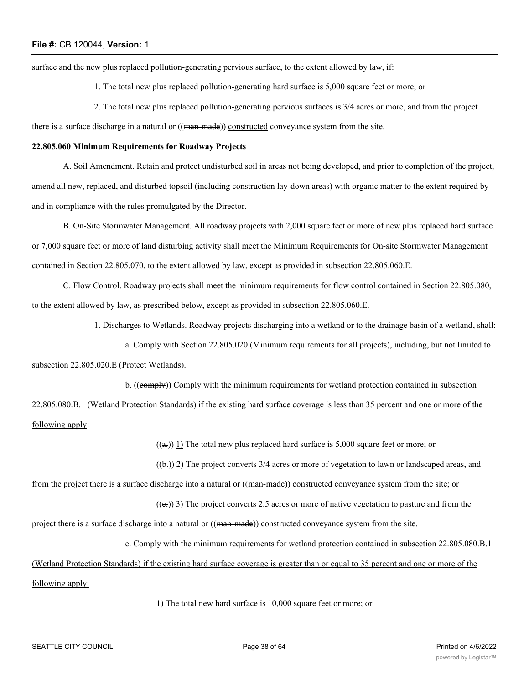surface and the new plus replaced pollution-generating pervious surface, to the extent allowed by law, if:

1. The total new plus replaced pollution-generating hard surface is 5,000 square feet or more; or

2. The total new plus replaced pollution-generating pervious surfaces is 3/4 acres or more, and from the project

there is a surface discharge in a natural or ((man-made)) constructed conveyance system from the site.

#### **22.805.060 Minimum Requirements for Roadway Projects**

A. Soil Amendment. Retain and protect undisturbed soil in areas not being developed, and prior to completion of the project, amend all new, replaced, and disturbed topsoil (including construction lay-down areas) with organic matter to the extent required by and in compliance with the rules promulgated by the Director.

B. On-Site Stormwater Management. All roadway projects with 2,000 square feet or more of new plus replaced hard surface or 7,000 square feet or more of land disturbing activity shall meet the Minimum Requirements for On-site Stormwater Management contained in Section 22.805.070, to the extent allowed by law, except as provided in subsection 22.805.060.E.

C. Flow Control. Roadway projects shall meet the minimum requirements for flow control contained in Section 22.805.080, to the extent allowed by law, as prescribed below, except as provided in subsection 22.805.060.E.

1. Discharges to Wetlands. Roadway projects discharging into a wetland or to the drainage basin of a wetland, shall:

a. Comply with Section 22.805.020 (Minimum requirements for all projects), including, but not limited to

# subsection 22.805.020.E (Protect Wetlands).

b. ((comply)) Comply with the minimum requirements for wetland protection contained in subsection 22.805.080.B.1 (Wetland Protection Standards) if the existing hard surface coverage is less than 35 percent and one or more of the following apply:

 $((a))$  1) The total new plus replaced hard surface is 5,000 square feet or more; or

 $((b))$  2) The project converts 3/4 acres or more of vegetation to lawn or landscaped areas, and

from the project there is a surface discharge into a natural or ((man-made)) constructed conveyance system from the site; or

 $((e))$  3) The project converts 2.5 acres or more of native vegetation to pasture and from the

project there is a surface discharge into a natural or ((man-made)) constructed conveyance system from the site.

c. Comply with the minimum requirements for wetland protection contained in subsection 22.805.080.B.1

(Wetland Protection Standards) if the existing hard surface coverage is greater than or equal to 35 percent and one or more of the

following apply:

# 1) The total new hard surface is 10,000 square feet or more; or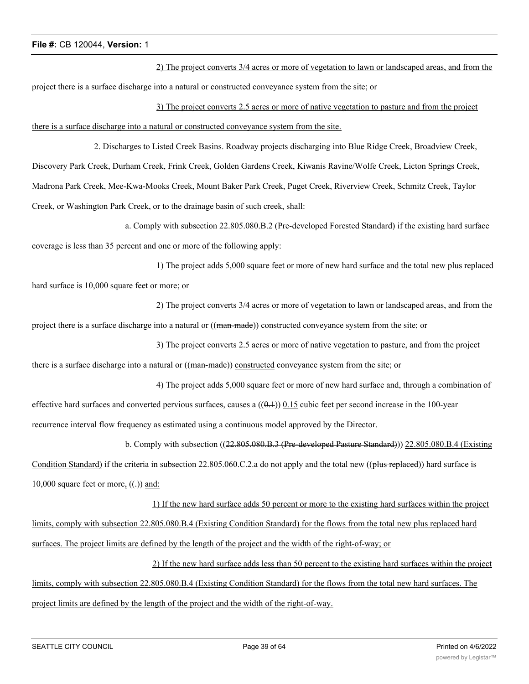2) The project converts 3/4 acres or more of vegetation to lawn or landscaped areas, and from the project there is a surface discharge into a natural or constructed conveyance system from the site; or

3) The project converts 2.5 acres or more of native vegetation to pasture and from the project there is a surface discharge into a natural or constructed conveyance system from the site.

2. Discharges to Listed Creek Basins. Roadway projects discharging into Blue Ridge Creek, Broadview Creek, Discovery Park Creek, Durham Creek, Frink Creek, Golden Gardens Creek, Kiwanis Ravine/Wolfe Creek, Licton Springs Creek, Madrona Park Creek, Mee-Kwa-Mooks Creek, Mount Baker Park Creek, Puget Creek, Riverview Creek, Schmitz Creek, Taylor Creek, or Washington Park Creek, or to the drainage basin of such creek, shall:

a. Comply with subsection 22.805.080.B.2 (Pre-developed Forested Standard) if the existing hard surface coverage is less than 35 percent and one or more of the following apply:

1) The project adds 5,000 square feet or more of new hard surface and the total new plus replaced hard surface is 10,000 square feet or more; or

2) The project converts 3/4 acres or more of vegetation to lawn or landscaped areas, and from the project there is a surface discharge into a natural or ((man-made)) constructed conveyance system from the site; or

3) The project converts 2.5 acres or more of native vegetation to pasture, and from the project there is a surface discharge into a natural or ((man-made)) constructed conveyance system from the site; or

4) The project adds 5,000 square feet or more of new hard surface and, through a combination of effective hard surfaces and converted pervious surfaces, causes a  $((0.1))$   $0.15$  cubic feet per second increase in the 100-year recurrence interval flow frequency as estimated using a continuous model approved by the Director.

b. Comply with subsection ((22.805.080.B.3 (Pre-developed Pasture Standard))) 22.805.080.B.4 (Existing

Condition Standard) if the criteria in subsection 22.805.060.C.2.a do not apply and the total new ((plus replaced)) hard surface is 10,000 square feet or more,  $((.)$  and:

1) If the new hard surface adds 50 percent or more to the existing hard surfaces within the project limits, comply with subsection 22.805.080.B.4 (Existing Condition Standard) for the flows from the total new plus replaced hard surfaces. The project limits are defined by the length of the project and the width of the right-of-way; or

2) If the new hard surface adds less than 50 percent to the existing hard surfaces within the project limits, comply with subsection 22.805.080.B.4 (Existing Condition Standard) for the flows from the total new hard surfaces. The project limits are defined by the length of the project and the width of the right-of-way.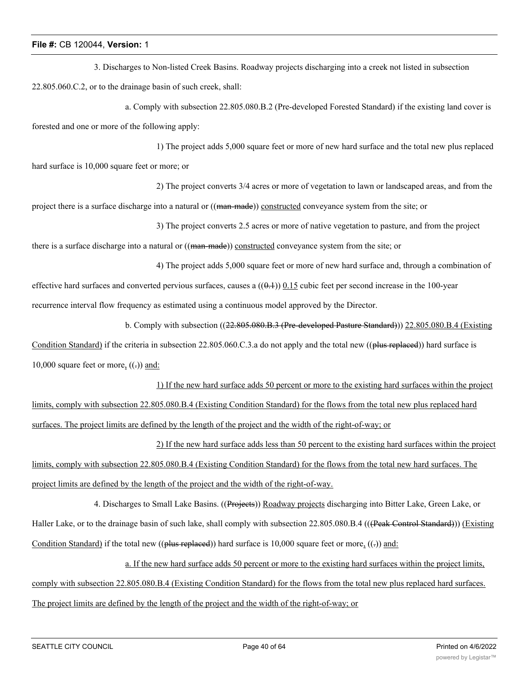3. Discharges to Non-listed Creek Basins. Roadway projects discharging into a creek not listed in subsection 22.805.060.C.2, or to the drainage basin of such creek, shall:

a. Comply with subsection 22.805.080.B.2 (Pre-developed Forested Standard) if the existing land cover is forested and one or more of the following apply:

1) The project adds 5,000 square feet or more of new hard surface and the total new plus replaced

hard surface is 10,000 square feet or more; or

2) The project converts 3/4 acres or more of vegetation to lawn or landscaped areas, and from the project there is a surface discharge into a natural or ((man-made)) constructed conveyance system from the site; or

3) The project converts 2.5 acres or more of native vegetation to pasture, and from the project

there is a surface discharge into a natural or ((man-made)) constructed conveyance system from the site; or

4) The project adds 5,000 square feet or more of new hard surface and, through a combination of effective hard surfaces and converted pervious surfaces, causes a  $((0.1))$  0.15 cubic feet per second increase in the 100-year recurrence interval flow frequency as estimated using a continuous model approved by the Director.

b. Comply with subsection ((22.805.080.B.3 (Pre-developed Pasture Standard))) 22.805.080.B.4 (Existing

Condition Standard) if the criteria in subsection 22.805.060.C.3.a do not apply and the total new ((plus replaced)) hard surface is 10,000 square feet or more,  $((.)$  and:

1) If the new hard surface adds 50 percent or more to the existing hard surfaces within the project limits, comply with subsection 22.805.080.B.4 (Existing Condition Standard) for the flows from the total new plus replaced hard surfaces. The project limits are defined by the length of the project and the width of the right-of-way; or

2) If the new hard surface adds less than 50 percent to the existing hard surfaces within the project limits, comply with subsection 22.805.080.B.4 (Existing Condition Standard) for the flows from the total new hard surfaces. The project limits are defined by the length of the project and the width of the right-of-way.

4. Discharges to Small Lake Basins. ((Projects)) Roadway projects discharging into Bitter Lake, Green Lake, or Haller Lake, or to the drainage basin of such lake, shall comply with subsection 22.805.080.B.4 (((Peak Control Standard))) (Existing Condition Standard) if the total new ((plus replaced)) hard surface is 10,000 square feet or more,  $((.)$  and:

a. If the new hard surface adds 50 percent or more to the existing hard surfaces within the project limits, comply with subsection 22.805.080.B.4 (Existing Condition Standard) for the flows from the total new plus replaced hard surfaces.

The project limits are defined by the length of the project and the width of the right-of-way; or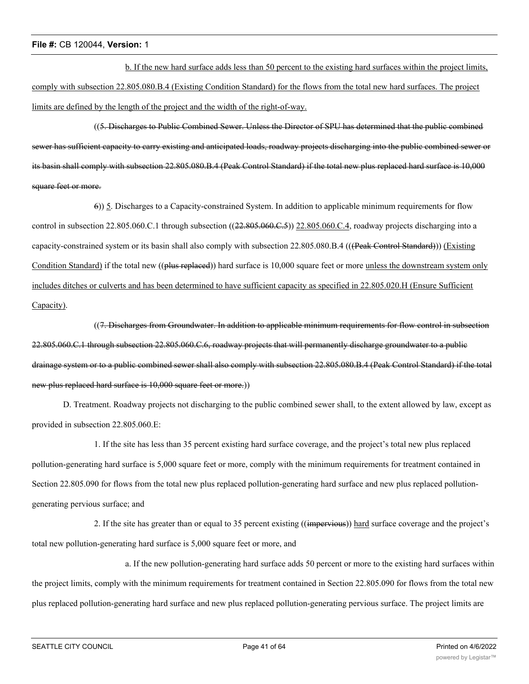b. If the new hard surface adds less than 50 percent to the existing hard surfaces within the project limits, comply with subsection 22.805.080.B.4 (Existing Condition Standard) for the flows from the total new hard surfaces. The project limits are defined by the length of the project and the width of the right-of-way.

((5. Discharges to Public Combined Sewer. Unless the Director of SPU has determined that the public combined sewer has sufficient capacity to carry existing and anticipated loads, roadway projects discharging into the public combined sewer or its basin shall comply with subsection 22.805.080.B.4 (Peak Control Standard) if the total new plus replaced hard surface is 10,000 square feet or more.

6)) 5. Discharges to a Capacity-constrained System. In addition to applicable minimum requirements for flow control in subsection  $22.805.060$ .C.1 through subsection  $((22.805.060$ .C.5))  $22.805.060$ .C.4, roadway projects discharging into a capacity-constrained system or its basin shall also comply with subsection 22.805.080.B.4 (((Peak Control Standard))) (Existing Condition Standard) if the total new ((plus replaced)) hard surface is 10,000 square feet or more unless the downstream system only includes ditches or culverts and has been determined to have sufficient capacity as specified in 22.805.020.H (Ensure Sufficient Capacity).

((7. Discharges from Groundwater. In addition to applicable minimum requirements for flow control in subsection 22.805.060.C.1 through subsection 22.805.060.C.6, roadway projects that will permanently discharge groundwater to a public drainage system or to a public combined sewer shall also comply with subsection 22.805.080.B.4 (Peak Control Standard) if the total new plus replaced hard surface is 10,000 square feet or more.))

D. Treatment. Roadway projects not discharging to the public combined sewer shall, to the extent allowed by law, except as provided in subsection 22.805.060.E:

1. If the site has less than 35 percent existing hard surface coverage, and the project's total new plus replaced pollution-generating hard surface is 5,000 square feet or more, comply with the minimum requirements for treatment contained in Section 22.805.090 for flows from the total new plus replaced pollution-generating hard surface and new plus replaced pollutiongenerating pervious surface; and

2. If the site has greater than or equal to 35 percent existing ((impervious)) hard surface coverage and the project's total new pollution-generating hard surface is 5,000 square feet or more, and

a. If the new pollution-generating hard surface adds 50 percent or more to the existing hard surfaces within the project limits, comply with the minimum requirements for treatment contained in Section 22.805.090 for flows from the total new plus replaced pollution-generating hard surface and new plus replaced pollution-generating pervious surface. The project limits are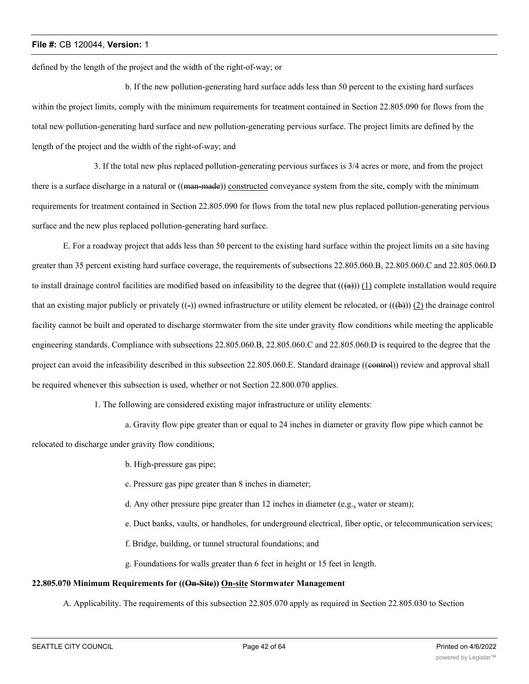defined by the length of the project and the width of the right-of-way; or

b. If the new pollution-generating hard surface adds less than 50 percent to the existing hard surfaces within the project limits, comply with the minimum requirements for treatment contained in Section 22.805.090 for flows from the total new pollution-generating hard surface and new pollution-generating pervious surface. The project limits are defined by the length of the project and the width of the right-of-way; and

3. If the total new plus replaced pollution-generating pervious surfaces is 3/4 acres or more, and from the project there is a surface discharge in a natural or ((man-made)) constructed conveyance system from the site, comply with the minimum requirements for treatment contained in Section 22.805.090 for flows from the total new plus replaced pollution-generating pervious surface and the new plus replaced pollution-generating hard surface.

E. For a roadway project that adds less than 50 percent to the existing hard surface within the project limits on a site having greater than 35 percent existing hard surface coverage, the requirements of subsections 22.805.060.B, 22.805.060.C and 22.805.060.D to install drainage control facilities are modified based on infeasibility to the degree that  $((a))$  (1) complete installation would require that an existing major publicly or privately  $((-)$ ) owned infrastructure or utility element be relocated, or  $((+)$ ) (2) the drainage control facility cannot be built and operated to discharge stormwater from the site under gravity flow conditions while meeting the applicable engineering standards. Compliance with subsections 22.805.060.B, 22.805.060.C and 22.805.060.D is required to the degree that the project can avoid the infeasibility described in this subsection 22.805.060.E. Standard drainage ((eontrol)) review and approval shall be required whenever this subsection is used, whether or not Section 22.800.070 applies.

1. The following are considered existing major infrastructure or utility elements:

a. Gravity flow pipe greater than or equal to 24 inches in diameter or gravity flow pipe which cannot be relocated to discharge under gravity flow conditions;

b. High-pressure gas pipe;

c. Pressure gas pipe greater than 8 inches in diameter;

- d. Any other pressure pipe greater than 12 inches in diameter (e.g., water or steam);
- e. Duct banks, vaults, or handholes, for underground electrical, fiber optic, or telecommunication services;
- f. Bridge, building, or tunnel structural foundations; and
- g. Foundations for walls greater than 6 feet in height or 15 feet in length.

# **22.805.070 Minimum Requirements for ((On-Site)) On-site Stormwater Management**

A. Applicability. The requirements of this subsection 22.805.070 apply as required in Section 22.805.030 to Section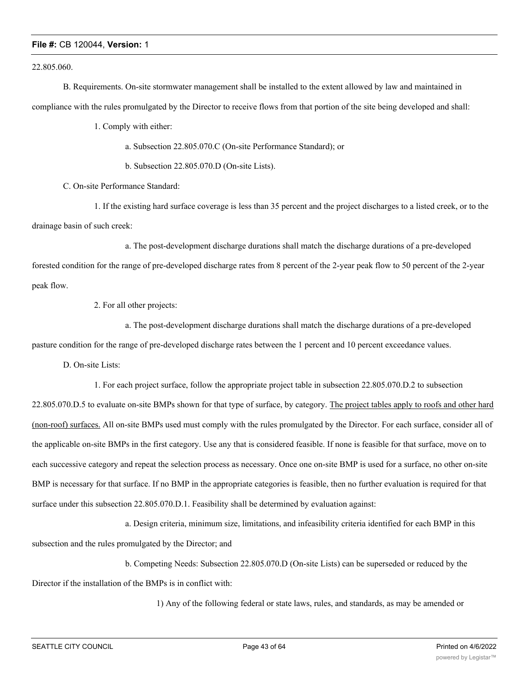22.805.060.

B. Requirements. On-site stormwater management shall be installed to the extent allowed by law and maintained in compliance with the rules promulgated by the Director to receive flows from that portion of the site being developed and shall:

1. Comply with either:

a. Subsection 22.805.070.C (On-site Performance Standard); or

b. Subsection 22.805.070.D (On-site Lists).

C. On-site Performance Standard:

1. If the existing hard surface coverage is less than 35 percent and the project discharges to a listed creek, or to the drainage basin of such creek:

a. The post-development discharge durations shall match the discharge durations of a pre-developed forested condition for the range of pre-developed discharge rates from 8 percent of the 2-year peak flow to 50 percent of the 2-year peak flow.

2. For all other projects:

a. The post-development discharge durations shall match the discharge durations of a pre-developed pasture condition for the range of pre-developed discharge rates between the 1 percent and 10 percent exceedance values.

D. On-site Lists:

1. For each project surface, follow the appropriate project table in subsection 22.805.070.D.2 to subsection

22.805.070.D.5 to evaluate on-site BMPs shown for that type of surface, by category. The project tables apply to roofs and other hard (non-roof) surfaces. All on-site BMPs used must comply with the rules promulgated by the Director. For each surface, consider all of the applicable on-site BMPs in the first category. Use any that is considered feasible. If none is feasible for that surface, move on to each successive category and repeat the selection process as necessary. Once one on-site BMP is used for a surface, no other on-site BMP is necessary for that surface. If no BMP in the appropriate categories is feasible, then no further evaluation is required for that surface under this subsection 22.805.070.D.1. Feasibility shall be determined by evaluation against:

a. Design criteria, minimum size, limitations, and infeasibility criteria identified for each BMP in this

subsection and the rules promulgated by the Director; and

b. Competing Needs: Subsection 22.805.070.D (On-site Lists) can be superseded or reduced by the

Director if the installation of the BMPs is in conflict with:

1) Any of the following federal or state laws, rules, and standards, as may be amended or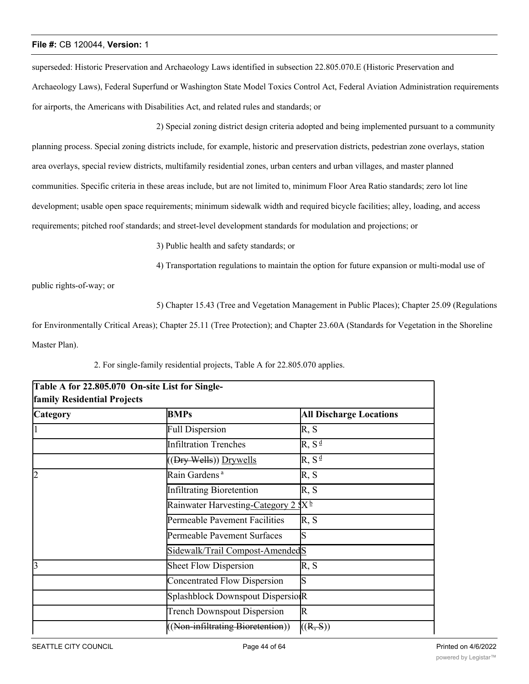superseded: Historic Preservation and Archaeology Laws identified in subsection 22.805.070.E (Historic Preservation and Archaeology Laws), Federal Superfund or Washington State Model Toxics Control Act, Federal Aviation Administration requirements for airports, the Americans with Disabilities Act, and related rules and standards; or

2) Special zoning district design criteria adopted and being implemented pursuant to a community planning process. Special zoning districts include, for example, historic and preservation districts, pedestrian zone overlays, station area overlays, special review districts, multifamily residential zones, urban centers and urban villages, and master planned communities. Specific criteria in these areas include, but are not limited to, minimum Floor Area Ratio standards; zero lot line development; usable open space requirements; minimum sidewalk width and required bicycle facilities; alley, loading, and access requirements; pitched roof standards; and street-level development standards for modulation and projections; or

3) Public health and safety standards; or

4) Transportation regulations to maintain the option for future expansion or multi-modal use of

public rights-of-way; or

5) Chapter 15.43 (Tree and Vegetation Management in Public Places); Chapter 25.09 (Regulations

for Environmentally Critical Areas); Chapter 25.11 (Tree Protection); and Chapter 23.60A (Standards for Vegetation in the Shoreline Master Plan).

| Table A for 22.805.070 On-site List for Single-<br>family Residential Projects |                                                 |                                |  |  |
|--------------------------------------------------------------------------------|-------------------------------------------------|--------------------------------|--|--|
| <b>Category</b>                                                                | <b>BMPs</b>                                     | <b>All Discharge Locations</b> |  |  |
|                                                                                | <b>Full Dispersion</b>                          | R, S                           |  |  |
|                                                                                | <b>Infiltration Trenches</b>                    | $R, S^{\underline{d}}$         |  |  |
|                                                                                | ((Dry Wells)) Drywells                          | $R, S^{\underline{d}}$         |  |  |
| $\overline{2}$                                                                 | Rain Gardens <sup>a</sup>                       | R, S                           |  |  |
|                                                                                | Infiltrating Bioretention                       | R, S                           |  |  |
|                                                                                | Rainwater Harvesting-Category 2 SX <sup>b</sup> |                                |  |  |
|                                                                                | Permeable Pavement Facilities                   | R, S                           |  |  |
|                                                                                | Permeable Pavement Surfaces                     | S                              |  |  |
|                                                                                | Sidewalk/Trail Compost-AmendedS                 |                                |  |  |
| 13                                                                             | <b>Sheet Flow Dispersion</b>                    | R, S                           |  |  |
|                                                                                | Concentrated Flow Dispersion                    | S                              |  |  |
|                                                                                | Splashblock Downspout DispersioR                |                                |  |  |
|                                                                                | <b>Trench Downspout Dispersion</b>              | $\mathbb R$                    |  |  |
|                                                                                | ((Non-infiltrating Bioretention))               | ((R, S))                       |  |  |

2. For single-family residential projects, Table A for 22.805.070 applies.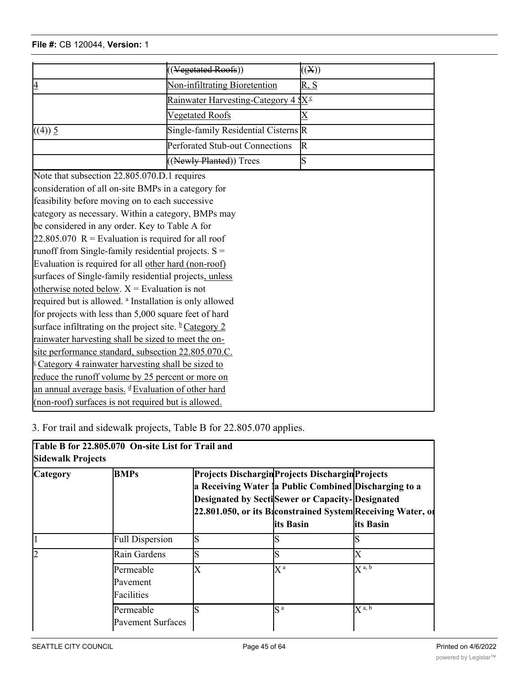|                                                                      | ((Vegetated Roofs))                                    | ((X))       |
|----------------------------------------------------------------------|--------------------------------------------------------|-------------|
| Non-infiltrating Bioretention<br>$\overline{4}$                      |                                                        | R, S        |
|                                                                      | <u>Rainwater Harvesting-Category 4 \$X<sup>c</sup></u> |             |
|                                                                      | Vegetated Roofs                                        | X           |
| ((4)) 5                                                              | Single-family Residential Cisterns R                   |             |
|                                                                      | Perforated Stub-out Connections                        | $\mathbb R$ |
|                                                                      | ((Newly Planted)) Trees                                | S           |
| Note that subsection 22.805.070.D.1 requires                         |                                                        |             |
| consideration of all on-site BMPs in a category for                  |                                                        |             |
| feasibility before moving on to each successive                      |                                                        |             |
| category as necessary. Within a category, BMPs may                   |                                                        |             |
| be considered in any order. Key to Table A for                       |                                                        |             |
| 22.805.070 $R =$ Evaluation is required for all roof                 |                                                        |             |
| runoff from Single-family residential projects. $S =$                |                                                        |             |
| Evaluation is required for all other hard (non-roof)                 |                                                        |             |
| surfaces of Single-family residential projects, unless               |                                                        |             |
| otherwise noted below. $X =$ Evaluation is not                       |                                                        |             |
| required but is allowed. <sup>a</sup> Installation is only allowed   |                                                        |             |
| for projects with less than 5,000 square feet of hard                |                                                        |             |
| surface infiltrating on the project site. <b><i>b</i></b> Category 2 |                                                        |             |
| rainwater harvesting shall be sized to meet the on-                  |                                                        |             |
| site performance standard, subsection 22.805.070.C.                  |                                                        |             |
| $\frac{c}{c}$ Category 4 rainwater harvesting shall be sized to      |                                                        |             |
| reduce the runoff volume by 25 percent or more on                    |                                                        |             |
| an annual average basis. d Evaluation of other hard                  |                                                        |             |
| (non-roof) surfaces is not required but is allowed.                  |                                                        |             |
|                                                                      |                                                        |             |

Trench Downspout Dispersion R

 $(1-\frac{1}{2})$  ( $\frac{1}{2}$ )) ((R, S)) ((R, S)) ((R, S)) ((R, S)) ((R, S))

3. For trail and sidewalk projects, Table B for 22.805.070 applies.

Sidewalk/Trailer

| Table B for 22.805.070 On-site List for Trail and<br>Sidewalk Projects |                                       |                                                                                                                                                              |                    |                                                                           |
|------------------------------------------------------------------------|---------------------------------------|--------------------------------------------------------------------------------------------------------------------------------------------------------------|--------------------|---------------------------------------------------------------------------|
| <b>Category</b>                                                        | <b>BMPs</b>                           | Projects Dischargin Projects Dischargin Projects<br>a Receiving Water la Public Combined Discharging to a<br>Designated by SectiSewer or Capacity-Designated | lits Basin         | 22.801.050, or its Baconstrained System Receiving Water, of<br>lits Basin |
|                                                                        | <b>Full Dispersion</b>                | S                                                                                                                                                            |                    |                                                                           |
|                                                                        | Rain Gardens                          | S                                                                                                                                                            |                    | Х                                                                         |
|                                                                        | Permeable<br>Pavement<br>Facilities   | Х                                                                                                                                                            | $X^{\mathfrak{a}}$ | $\overline{X}$ <sup>a, b</sup>                                            |
|                                                                        | Permeable<br><b>Pavement Surfaces</b> | S                                                                                                                                                            | $S^{\,a}$          | $X^{a, b}$                                                                |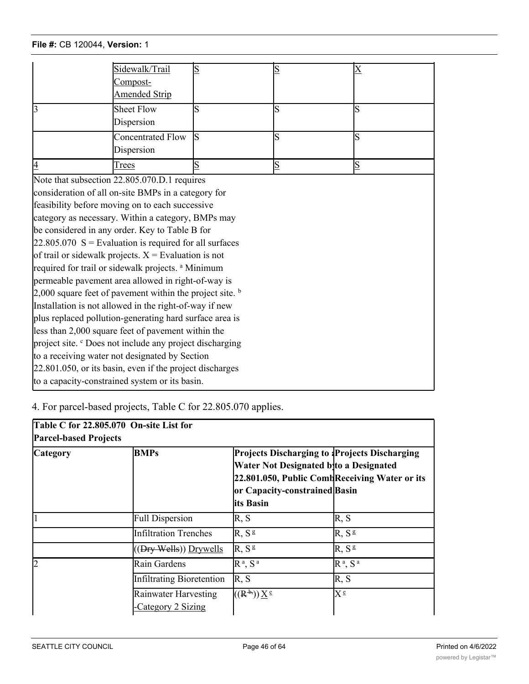|                                                                      | Sidewalk/Trail                                                | S  | S              | $\boldsymbol{\mathrm{X}}$ |  |
|----------------------------------------------------------------------|---------------------------------------------------------------|----|----------------|---------------------------|--|
|                                                                      | Compost-                                                      |    |                |                           |  |
|                                                                      | <b>Amended Strip</b>                                          |    |                |                           |  |
| $\overline{3}$                                                       | <b>Sheet Flow</b>                                             | S  | S              | lS                        |  |
|                                                                      | Dispersion                                                    |    |                |                           |  |
|                                                                      | <b>Concentrated Flow</b>                                      | ls | S              | lS                        |  |
|                                                                      | Dispersion                                                    |    |                |                           |  |
| 4                                                                    | Trees                                                         | S  | $\overline{S}$ | $\overline{\mathbf{S}}$   |  |
|                                                                      | Note that subsection 22.805.070.D.1 requires                  |    |                |                           |  |
|                                                                      | consideration of all on-site BMPs in a category for           |    |                |                           |  |
|                                                                      | feasibility before moving on to each successive               |    |                |                           |  |
|                                                                      | category as necessary. Within a category, BMPs may            |    |                |                           |  |
|                                                                      | be considered in any order. Key to Table B for                |    |                |                           |  |
|                                                                      | $22.805.070$ S = Evaluation is required for all surfaces      |    |                |                           |  |
|                                                                      | of trail or sidewalk projects. $X =$ Evaluation is not        |    |                |                           |  |
|                                                                      | required for trail or sidewalk projects. <sup>a</sup> Minimum |    |                |                           |  |
|                                                                      | permeable pavement area allowed in right-of-way is            |    |                |                           |  |
| 2,000 square feet of pavement within the project site. $\frac{b}{2}$ |                                                               |    |                |                           |  |
| Installation is not allowed in the right-of-way if new               |                                                               |    |                |                           |  |
| plus replaced pollution-generating hard surface area is              |                                                               |    |                |                           |  |
| less than 2,000 square feet of pavement within the                   |                                                               |    |                |                           |  |
| project site. <sup>c</sup> Does not include any project discharging  |                                                               |    |                |                           |  |
| to a receiving water not designated by Section                       |                                                               |    |                |                           |  |
| 22.801.050, or its basin, even if the project discharges             |                                                               |    |                |                           |  |
| to a capacity-constrained system or its basin.                       |                                                               |    |                |                           |  |
|                                                                      |                                                               |    |                |                           |  |

4. For parcel-based projects, Table C for 22.805.070 applies.

Facilities

| Table C for 22.805.070 On-site List for<br><b>Parcel-based Projects</b> |                                            |                                                                                                                                                                                         |                   |  |
|-------------------------------------------------------------------------|--------------------------------------------|-----------------------------------------------------------------------------------------------------------------------------------------------------------------------------------------|-------------------|--|
| <b>Category</b>                                                         | <b>BMPs</b>                                | Projects Discharging to Projects Discharging<br>Water Not Designated byto a Designated<br>22.801.050, Public Comb Receiving Water or its<br>or Capacity-constrained Basin<br>lits Basin |                   |  |
|                                                                         | <b>Full Dispersion</b>                     | R, S                                                                                                                                                                                    | R, S              |  |
|                                                                         | <b>Infiltration Trenches</b>               | R, S <sup>g</sup>                                                                                                                                                                       | R, S <sup>g</sup> |  |
|                                                                         | ((Dry Wells)) Drywells                     | R, S <sup>g</sup>                                                                                                                                                                       | R, S <sup>g</sup> |  |
| $\overline{2}$                                                          | Rain Gardens                               | $R^a$ , $S^a$                                                                                                                                                                           | $R^a$ , $S^a$     |  |
|                                                                         | <b>Infiltrating Bioretention</b>           | R, S                                                                                                                                                                                    | R, S              |  |
|                                                                         | Rainwater Harvesting<br>-Category 2 Sizing | $((R^{\frac{1}{2}}))X^{\frac{e}{2}}$                                                                                                                                                    | $X^{\epsilon}$    |  |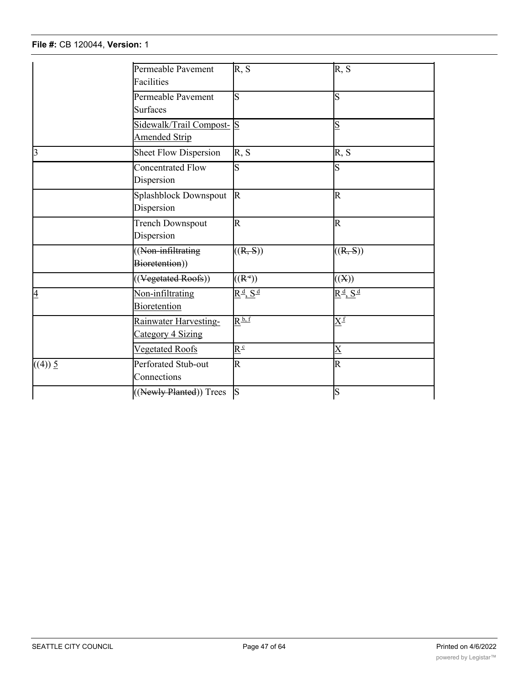-Category 2 Sizing

|                | Permeable Pavement           | R, S                                  | R, S                                      |
|----------------|------------------------------|---------------------------------------|-------------------------------------------|
|                | Facilities                   |                                       |                                           |
|                | Permeable Pavement           | S                                     | ls                                        |
|                | Surfaces                     |                                       |                                           |
|                | Sidewalk/Trail Compost- S    |                                       | S                                         |
|                | <b>Amended Strip</b>         |                                       |                                           |
| $\overline{3}$ | <b>Sheet Flow Dispersion</b> | R, S                                  | R, S                                      |
|                | Concentrated Flow            | S                                     | ls                                        |
|                | Dispersion                   |                                       |                                           |
|                | Splashblock Downspout        | $\mathbb{R}$                          | R                                         |
|                | Dispersion                   |                                       |                                           |
|                | Trench Downspout             | $\overline{\mathrm{R}}$               | R                                         |
|                | Dispersion                   |                                       |                                           |
|                | ((Non-infiltrating)          | ((R, S))                              | ((R, S))                                  |
|                | Bioretention))               |                                       |                                           |
|                | ((Vegetated Roofs))          | $((R^*)$                              | $(\mathbf{X})$                            |
| 4              | Non-infiltrating             | $R^{\frac{d}{2}}$ , $S^{\frac{d}{2}}$ | $R^{\underline{d}}$ , $S^{\underline{d}}$ |
|                | <b>Bioretention</b>          |                                       |                                           |
|                | Rainwater Harvesting-        | $R^{\underline{b},f}$                 | $\rm X^f$                                 |
|                | Category 4 Sizing            |                                       |                                           |
|                | Vegetated Roofs              | $\underline{R}^c$                     | $\overline{\mathrm{X}}$                   |
| ((4)) 5        | Perforated Stub-out          | $\overline{\mathrm{R}}$               | R                                         |
|                | Connections                  |                                       |                                           |
|                | ((Newly Planted)) Trees      | $\mathbf S$                           | ls                                        |

are as of  $500\%$  square feet or more ((of)) square feet or more (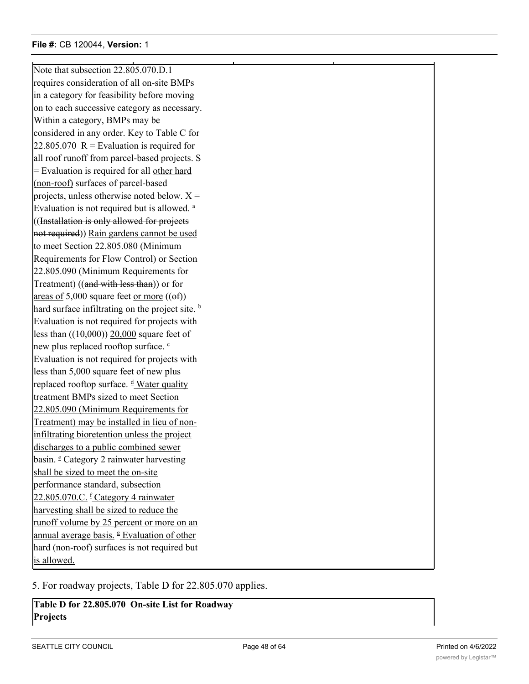Note that subsection 22.805.070.D.1 requires consideration of all on-site BMPs in a category for feasibility before moving on to each successive category as necessary. Within a category, BMPs may be considered in any order. Key to Table C for 22.805.070  $R =$  Evaluation is required for all roof runoff from parcel-based projects. S = Evaluation is required for all other hard (non-roof) surfaces of parcel-based projects, unless otherwise noted below.  $X =$ Evaluation is not required but is allowed. <sup>a</sup> ((Installation is only allowed for projects not required)) Rain gardens cannot be used to meet Section 22.805.080 (Minimum Requirements for Flow Control) or Section 22.805.090 (Minimum Requirements for Treatment) ((and with less than)) or for areas of  $5,000$  square feet or more  $((ef))$ hard surface infiltrating on the project site.  $\frac{b}{2}$ Evaluation is not required for projects with less than  $((10,000))$  20,000 square feet of new plus replaced rooftop surface. <sup>c</sup> Evaluation is not required for projects with less than 5,000 square feet of new plus replaced rooftop surface. <sup>d</sup> Water quality treatment BMPs sized to meet Section 22.805.090 (Minimum Requirements for Treatment) may be installed in lieu of noninfiltrating bioretention unless the project discharges to a public combined sewer basin. <sup>e</sup> Category 2 rainwater harvesting shall be sized to meet the on-site performance standard, subsection 22.805.070.C. <sup>f</sup> Category 4 rainwater harvesting shall be sized to reduce the runoff volume by 25 percent or more on an annual average basis. <sup>g</sup> Evaluation of other hard (non-roof) surfaces is not required but is allowed.

5. For roadway projects, Table D for 22.805.070 applies.

**Table D for 22.805.070 On-site List for Roadway Projects**

 $(1, 2, 3, 5)$  Trees S  $\sim$   $(1, 3, 5)$  Trees S  $\sim$   $(1, 3, 5)$  Trees S  $\sim$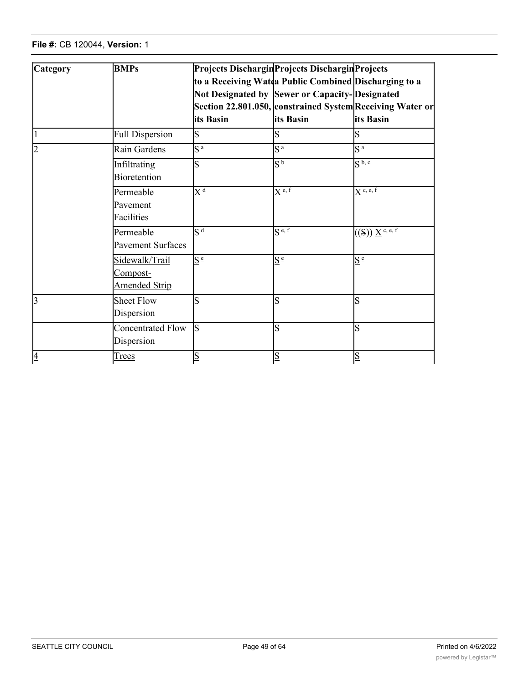**Projects**

| Category       | <b>BMPs</b>                                        | its Basin                   | Projects Dischargin Projects Dischargin Projects<br>to a Receiving Watda Public Combined Discharging to a<br>Not Designated by Sewer or Capacity-Designated<br>its Basin | Section 22.801.050, constrained System Receiving Water or<br>lits Basin                                     |
|----------------|----------------------------------------------------|-----------------------------|--------------------------------------------------------------------------------------------------------------------------------------------------------------------------|-------------------------------------------------------------------------------------------------------------|
|                | <b>Full Dispersion</b>                             | S                           |                                                                                                                                                                          |                                                                                                             |
| $\overline{2}$ | Rain Gardens                                       | S <sup>a</sup>              | S <sup>a</sup>                                                                                                                                                           | S <sup>a</sup>                                                                                              |
|                | Infiltrating<br>Bioretention                       | S                           | $\overline{S^b}$                                                                                                                                                         | $S^{b,c}$                                                                                                   |
|                | Permeable<br>Pavement<br>Facilities                | $\mathrm{X}^{\,\mathrm{d}}$ | $X^{e,f}$                                                                                                                                                                | $X^{\mathsf{c},\,\mathsf{e},\,\mathsf{f}}$                                                                  |
|                | Permeable<br><b>Pavement Surfaces</b>              | $S^{\overline{d}}$          | $S^{e, f}$                                                                                                                                                               | $\mathbb{P}((\mathrm{S})\, \underline{\mathrm{X}}^{\, \mathrm{c}, \, \mathrm{e}, \, \overline{\mathrm{f}}}$ |
|                | Sidewalk/Trail<br>Compost-<br><b>Amended Strip</b> | $S \triangleq$              | $S^{\frac{e}{}}$                                                                                                                                                         | $S^{\circ}$                                                                                                 |
| $\overline{3}$ | <b>Sheet Flow</b><br>Dispersion                    | S                           | S                                                                                                                                                                        | $\overline{\text{S}}$                                                                                       |
|                | Concentrated Flow<br>Dispersion                    | ls                          | S                                                                                                                                                                        | $\overline{\text{S}}$                                                                                       |
| $\overline{4}$ | <b>Trees</b>                                       | $\overline{S}$              | $\overline{S}$                                                                                                                                                           | $\overline{\mathbf{S}}$                                                                                     |

surface is less than 2,000 square feet. Dept.

Evaluation of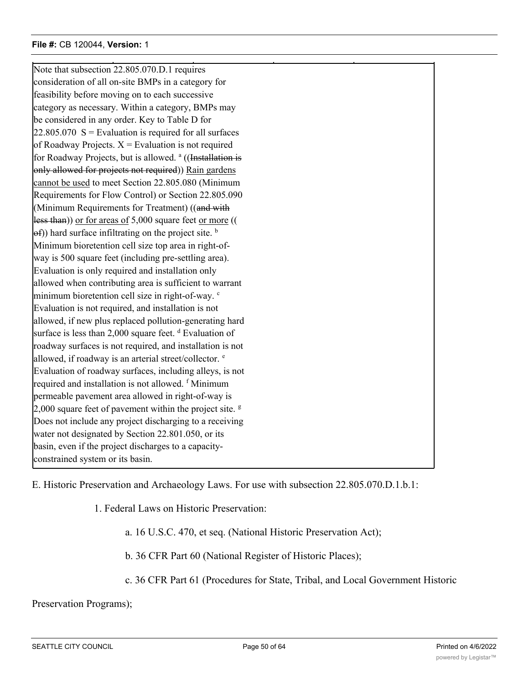Note that subsection 22.805.070.D.1 requires consideration of all on-site BMPs in a category for feasibility before moving on to each successive category as necessary. Within a category, BMPs may be considered in any order. Key to Table D for  $22.805.070$  S = Evaluation is required for all surfaces of Roadway Projects.  $X =$  Evaluation is not required for Roadway Projects, but is allowed. <sup>a</sup> ((Installation is only allowed for projects not required)) Rain gardens cannot be used to meet Section 22.805.080 (Minimum Requirements for Flow Control) or Section 22.805.090 (Minimum Requirements for Treatment) ((and with less than)) or for areas of 5,000 square feet or more ((  $(\Theta f)$ ) hard surface infiltrating on the project site.  $\Phi$ Minimum bioretention cell size top area in right-ofway is 500 square feet (including pre-settling area). Evaluation is only required and installation only allowed when contributing area is sufficient to warrant minimum bioretention cell size in right-of-way. <sup>c</sup> Evaluation is not required, and installation is not allowed, if new plus replaced pollution-generating hard surface is less than 2,000 square feet. d Evaluation of roadway surfaces is not required, and installation is not allowed, if roadway is an arterial street/collector.  $e$ Evaluation of roadway surfaces, including alleys, is not required and installation is not allowed. f Minimum permeable pavement area allowed in right-of-way is 2,000 square feet of pavement within the project site.  $\frac{g}{g}$ Does not include any project discharging to a receiving water not designated by Section 22.801.050, or its basin, even if the project discharges to a capacityconstrained system or its basin.

 $\mathcal{A} = \{ \mathcal{A} \mid \mathcal{A} \in \mathcal{A} \}$  , where  $\mathcal{A} = \{ \mathcal{A} \mid \mathcal{A} \in \mathcal{A} \}$  , where  $\mathcal{A} = \{ \mathcal{A} \mid \mathcal{A} \in \mathcal{A} \}$ 

E. Historic Preservation and Archaeology Laws. For use with subsection 22.805.070.D.1.b.1:

1. Federal Laws on Historic Preservation:

a. 16 U.S.C. 470, et seq. (National Historic Preservation Act);

b. 36 CFR Part 60 (National Register of Historic Places);

c. 36 CFR Part 61 (Procedures for State, Tribal, and Local Government Historic

Preservation Programs);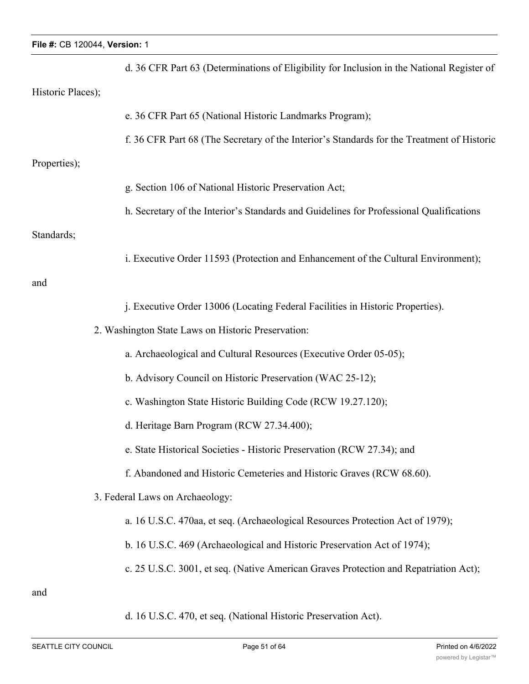|                   | d. 36 CFR Part 63 (Determinations of Eligibility for Inclusion in the National Register of |
|-------------------|--------------------------------------------------------------------------------------------|
| Historic Places); |                                                                                            |
|                   | e. 36 CFR Part 65 (National Historic Landmarks Program);                                   |
|                   | f. 36 CFR Part 68 (The Secretary of the Interior's Standards for the Treatment of Historic |
| Properties);      |                                                                                            |
|                   | g. Section 106 of National Historic Preservation Act;                                      |
|                   | h. Secretary of the Interior's Standards and Guidelines for Professional Qualifications    |
| Standards;        |                                                                                            |
|                   | i. Executive Order 11593 (Protection and Enhancement of the Cultural Environment);         |
| and               |                                                                                            |
|                   | j. Executive Order 13006 (Locating Federal Facilities in Historic Properties).             |
|                   | 2. Washington State Laws on Historic Preservation:                                         |
|                   | a. Archaeological and Cultural Resources (Executive Order 05-05);                          |
|                   | b. Advisory Council on Historic Preservation (WAC 25-12);                                  |
|                   | c. Washington State Historic Building Code (RCW 19.27.120);                                |
|                   | d. Heritage Barn Program (RCW 27.34.400);                                                  |
|                   | e. State Historical Societies - Historic Preservation (RCW 27.34); and                     |
|                   | f. Abandoned and Historic Cemeteries and Historic Graves (RCW 68.60).                      |
|                   | 3. Federal Laws on Archaeology:                                                            |
|                   | a. 16 U.S.C. 470aa, et seq. (Archaeological Resources Protection Act of 1979);             |
|                   | b. 16 U.S.C. 469 (Archaeological and Historic Preservation Act of 1974);                   |
|                   | c. 25 U.S.C. 3001, et seq. (Native American Graves Protection and Repatriation Act);       |
| and               |                                                                                            |
|                   | d. 16 U.S.C. 470, et seq. (National Historic Preservation Act).                            |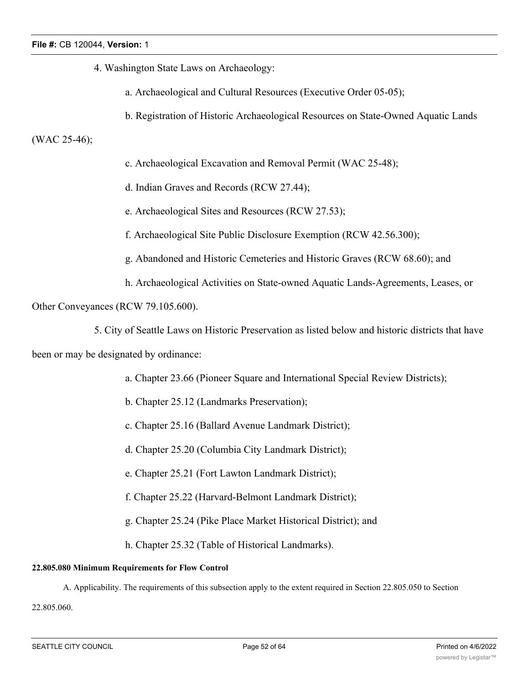- 4. Washington State Laws on Archaeology:
	- a. Archaeological and Cultural Resources (Executive Order 05-05);
	- b. Registration of Historic Archaeological Resources on State-Owned Aquatic Lands

# (WAC 25-46);

- c. Archaeological Excavation and Removal Permit (WAC 25-48);
- d. Indian Graves and Records (RCW 27.44);
- e. Archaeological Sites and Resources (RCW 27.53);
- f. Archaeological Site Public Disclosure Exemption (RCW 42.56.300);
- g. Abandoned and Historic Cemeteries and Historic Graves (RCW 68.60); and
- h. Archaeological Activities on State-owned Aquatic Lands-Agreements, Leases, or

Other Conveyances (RCW 79.105.600).

5. City of Seattle Laws on Historic Preservation as listed below and historic districts that have

been or may be designated by ordinance:

- a. Chapter 23.66 (Pioneer Square and International Special Review Districts);
- b. Chapter 25.12 (Landmarks Preservation);
- c. Chapter 25.16 (Ballard Avenue Landmark District);
- d. Chapter 25.20 (Columbia City Landmark District);
- e. Chapter 25.21 (Fort Lawton Landmark District);
- f. Chapter 25.22 (Harvard-Belmont Landmark District);
- g. Chapter 25.24 (Pike Place Market Historical District); and
- h. Chapter 25.32 (Table of Historical Landmarks).

# **22.805.080 Minimum Requirements for Flow Control**

A. Applicability. The requirements of this subsection apply to the extent required in Section 22.805.050 to Section

22.805.060.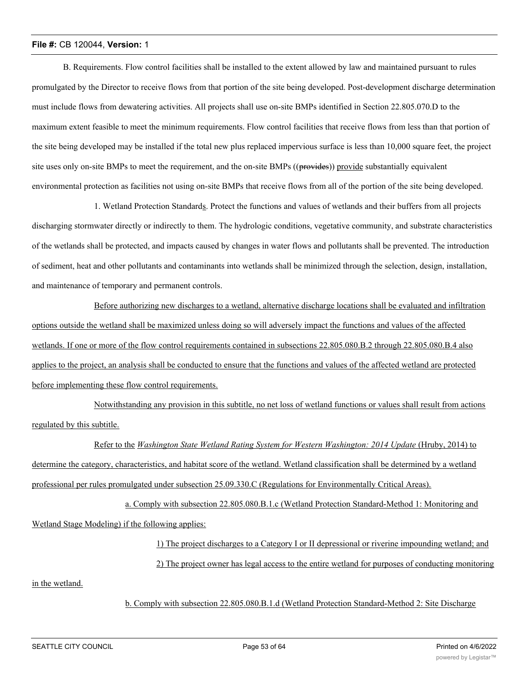B. Requirements. Flow control facilities shall be installed to the extent allowed by law and maintained pursuant to rules promulgated by the Director to receive flows from that portion of the site being developed. Post-development discharge determination must include flows from dewatering activities. All projects shall use on-site BMPs identified in Section 22.805.070.D to the maximum extent feasible to meet the minimum requirements. Flow control facilities that receive flows from less than that portion of the site being developed may be installed if the total new plus replaced impervious surface is less than 10,000 square feet, the project site uses only on-site BMPs to meet the requirement, and the on-site BMPs ((provides)) provide substantially equivalent environmental protection as facilities not using on-site BMPs that receive flows from all of the portion of the site being developed.

1. Wetland Protection Standards. Protect the functions and values of wetlands and their buffers from all projects discharging stormwater directly or indirectly to them. The hydrologic conditions, vegetative community, and substrate characteristics of the wetlands shall be protected, and impacts caused by changes in water flows and pollutants shall be prevented. The introduction of sediment, heat and other pollutants and contaminants into wetlands shall be minimized through the selection, design, installation, and maintenance of temporary and permanent controls.

Before authorizing new discharges to a wetland, alternative discharge locations shall be evaluated and infiltration options outside the wetland shall be maximized unless doing so will adversely impact the functions and values of the affected wetlands. If one or more of the flow control requirements contained in subsections 22.805.080.B.2 through 22.805.080.B.4 also applies to the project, an analysis shall be conducted to ensure that the functions and values of the affected wetland are protected before implementing these flow control requirements.

Notwithstanding any provision in this subtitle, no net loss of wetland functions or values shall result from actions regulated by this subtitle.

Refer to the *Washington State Wetland Rating System for Western Washington: 2014 Update* (Hruby, 2014) to determine the category, characteristics, and habitat score of the wetland. Wetland classification shall be determined by a wetland professional per rules promulgated under subsection 25.09.330.C (Regulations for Environmentally Critical Areas).

a. Comply with subsection 22.805.080.B.1.c (Wetland Protection Standard-Method 1: Monitoring and Wetland Stage Modeling) if the following applies:

> 1) The project discharges to a Category I or II depressional or riverine impounding wetland; and 2) The project owner has legal access to the entire wetland for purposes of conducting monitoring

in the wetland.

b. Comply with subsection 22.805.080.B.1.d (Wetland Protection Standard-Method 2: Site Discharge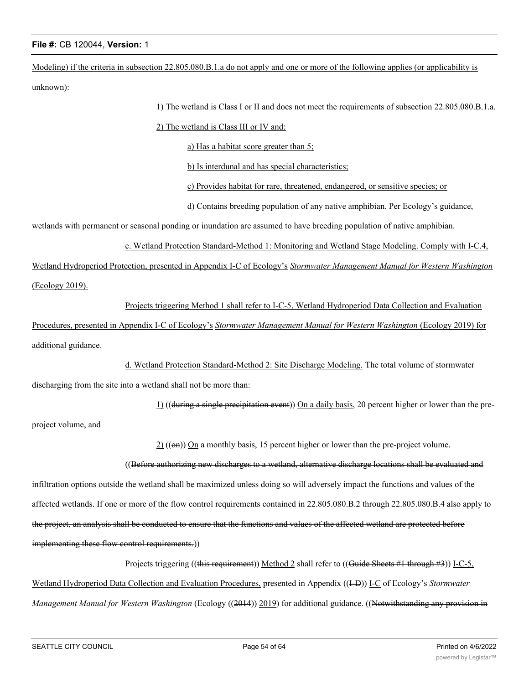Modeling) if the criteria in subsection 22.805.080.B.1.a do not apply and one or more of the following applies (or applicability is unknown):

1) The wetland is Class I or II and does not meet the requirements of subsection 22.805.080.B.1.a. 2) The wetland is Class III or IV and: a) Has a habitat score greater than 5; b) Is interdunal and has special characteristics; c) Provides habitat for rare, threatened, endangered, or sensitive species; or d) Contains breeding population of any native amphibian. Per Ecology's guidance, wetlands with permanent or seasonal ponding or inundation are assumed to have breeding population of native amphibian. c. Wetland Protection Standard-Method 1: Monitoring and Wetland Stage Modeling. Comply with I-C.4, Wetland Hydroperiod Protection, presented in Appendix I-C of Ecology's *Stormwater Management Manual for Western Washington* (Ecology 2019). Projects triggering Method 1 shall refer to I-C-5, Wetland Hydroperiod Data Collection and Evaluation Procedures, presented in Appendix I-C of Ecology's *Stormwater Management Manual for Western Washington* (Ecology 2019) for additional guidance. d. Wetland Protection Standard-Method 2: Site Discharge Modeling. The total volume of stormwater discharging from the site into a wetland shall not be more than: 1) ((during a single precipitation event)) On a daily basis, 20 percent higher or lower than the preproject volume, and  $2)$  (( $\Theta$ m)) On a monthly basis, 15 percent higher or lower than the pre-project volume. ((Before authorizing new discharges to a wetland, alternative discharge locations shall be evaluated and infiltration options outside the wetland shall be maximized unless doing so will adversely impact the functions and values of the affected wetlands. If one or more of the flow control requirements contained in 22.805.080.B.2 through 22.805.080.B.4 also apply to

the project, an analysis shall be conducted to ensure that the functions and values of the affected wetland are protected before

implementing these flow control requirements.))

Projects triggering ((this requirement)) Method 2 shall refer to ((Guide Sheets #1 through #3)) I-C-5, Wetland Hydroperiod Data Collection and Evaluation Procedures, presented in Appendix ((<del>I-D</del>)) I-C of Ecology's *Stormwater Management Manual for Western Washington* (Ecology ((2014)) 2019) for additional guidance. ((Notwithstanding any provision in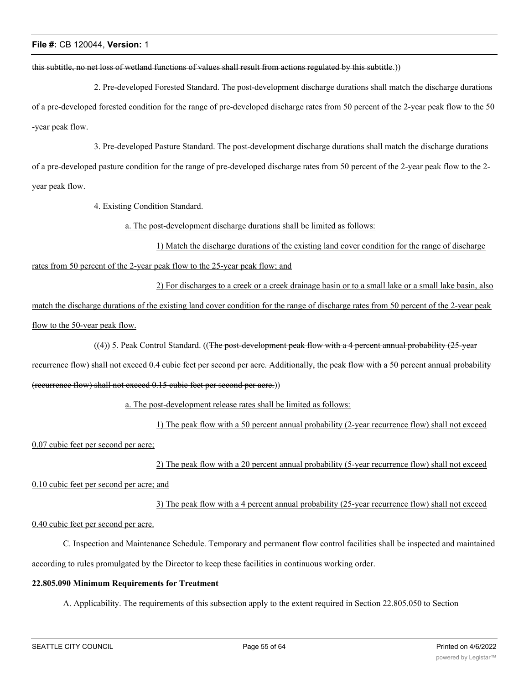#### this subtitle, no net loss of wetland functions of values shall result from actions regulated by this subtitle.))

2. Pre-developed Forested Standard. The post-development discharge durations shall match the discharge durations of a pre-developed forested condition for the range of pre-developed discharge rates from 50 percent of the 2-year peak flow to the 50 -year peak flow.

3. Pre-developed Pasture Standard. The post-development discharge durations shall match the discharge durations of a pre-developed pasture condition for the range of pre-developed discharge rates from 50 percent of the 2-year peak flow to the 2 year peak flow.

4. Existing Condition Standard.

a. The post-development discharge durations shall be limited as follows:

1) Match the discharge durations of the existing land cover condition for the range of discharge rates from 50 percent of the 2-year peak flow to the 25-year peak flow; and

2) For discharges to a creek or a creek drainage basin or to a small lake or a small lake basin, also match the discharge durations of the existing land cover condition for the range of discharge rates from 50 percent of the 2-year peak flow to the 50-year peak flow.

((4)) 5. Peak Control Standard. ((The post-development peak flow with a 4 percent annual probability (25-year

recurrence flow) shall not exceed 0.4 cubic feet per second per acre. Additionally, the peak flow with a 50 percent annual probability (recurrence flow) shall not exceed 0.15 cubic feet per second per acre.))

a. The post-development release rates shall be limited as follows:

1) The peak flow with a 50 percent annual probability (2-year recurrence flow) shall not exceed 0.07 cubic feet per second per acre;

2) The peak flow with a 20 percent annual probability (5-year recurrence flow) shall not exceed

0.10 cubic feet per second per acre; and

3) The peak flow with a 4 percent annual probability (25-year recurrence flow) shall not exceed

0.40 cubic feet per second per acre.

C. Inspection and Maintenance Schedule. Temporary and permanent flow control facilities shall be inspected and maintained according to rules promulgated by the Director to keep these facilities in continuous working order.

#### **22.805.090 Minimum Requirements for Treatment**

A. Applicability. The requirements of this subsection apply to the extent required in Section 22.805.050 to Section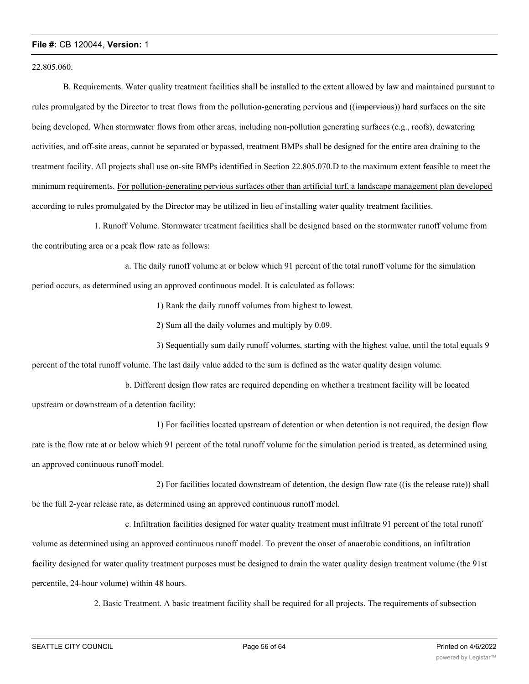22.805.060.

B. Requirements. Water quality treatment facilities shall be installed to the extent allowed by law and maintained pursuant to rules promulgated by the Director to treat flows from the pollution-generating pervious and ((impervious)) hard surfaces on the site being developed. When stormwater flows from other areas, including non-pollution generating surfaces (e.g., roofs), dewatering activities, and off-site areas, cannot be separated or bypassed, treatment BMPs shall be designed for the entire area draining to the treatment facility. All projects shall use on-site BMPs identified in Section 22.805.070.D to the maximum extent feasible to meet the minimum requirements. For pollution-generating pervious surfaces other than artificial turf, a landscape management plan developed according to rules promulgated by the Director may be utilized in lieu of installing water quality treatment facilities.

1. Runoff Volume. Stormwater treatment facilities shall be designed based on the stormwater runoff volume from the contributing area or a peak flow rate as follows:

a. The daily runoff volume at or below which 91 percent of the total runoff volume for the simulation period occurs, as determined using an approved continuous model. It is calculated as follows:

1) Rank the daily runoff volumes from highest to lowest.

2) Sum all the daily volumes and multiply by 0.09.

3) Sequentially sum daily runoff volumes, starting with the highest value, until the total equals 9 percent of the total runoff volume. The last daily value added to the sum is defined as the water quality design volume.

b. Different design flow rates are required depending on whether a treatment facility will be located upstream or downstream of a detention facility:

1) For facilities located upstream of detention or when detention is not required, the design flow

rate is the flow rate at or below which 91 percent of the total runoff volume for the simulation period is treated, as determined using an approved continuous runoff model.

2) For facilities located downstream of detention, the design flow rate ((is the release rate)) shall

be the full 2-year release rate, as determined using an approved continuous runoff model.

c. Infiltration facilities designed for water quality treatment must infiltrate 91 percent of the total runoff volume as determined using an approved continuous runoff model. To prevent the onset of anaerobic conditions, an infiltration facility designed for water quality treatment purposes must be designed to drain the water quality design treatment volume (the 91st percentile, 24-hour volume) within 48 hours.

2. Basic Treatment. A basic treatment facility shall be required for all projects. The requirements of subsection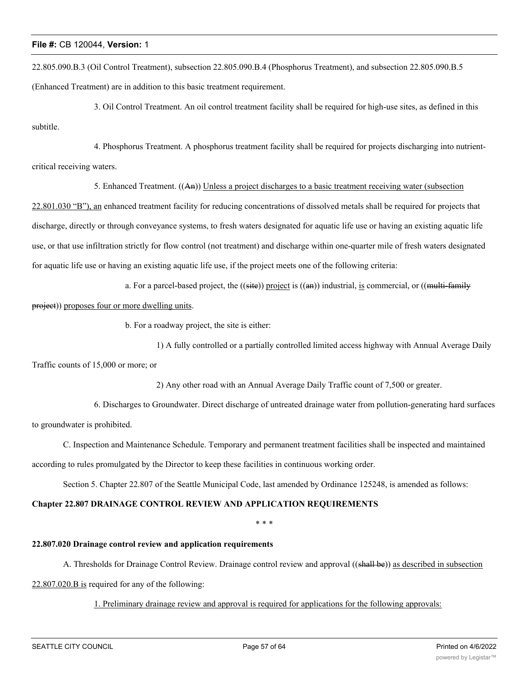22.805.090.B.3 (Oil Control Treatment), subsection 22.805.090.B.4 (Phosphorus Treatment), and subsection 22.805.090.B.5 (Enhanced Treatment) are in addition to this basic treatment requirement.

3. Oil Control Treatment. An oil control treatment facility shall be required for high-use sites, as defined in this subtitle.

4. Phosphorus Treatment. A phosphorus treatment facility shall be required for projects discharging into nutrientcritical receiving waters.

5. Enhanced Treatment. ((An)) Unless a project discharges to a basic treatment receiving water (subsection

22.801.030 "B"), an enhanced treatment facility for reducing concentrations of dissolved metals shall be required for projects that discharge, directly or through conveyance systems, to fresh waters designated for aquatic life use or having an existing aquatic life use, or that use infiltration strictly for flow control (not treatment) and discharge within one-quarter mile of fresh waters designated for aquatic life use or having an existing aquatic life use, if the project meets one of the following criteria:

a. For a parcel-based project, the  $((\text{site}))$  project is  $((\text{an}))$  industrial, is commercial, or  $((\text{multi-familiar})$ 

project)) proposes four or more dwelling units.

b. For a roadway project, the site is either:

1) A fully controlled or a partially controlled limited access highway with Annual Average Daily

Traffic counts of 15,000 or more; or

2) Any other road with an Annual Average Daily Traffic count of 7,500 or greater.

6. Discharges to Groundwater. Direct discharge of untreated drainage water from pollution-generating hard surfaces to groundwater is prohibited.

C. Inspection and Maintenance Schedule. Temporary and permanent treatment facilities shall be inspected and maintained according to rules promulgated by the Director to keep these facilities in continuous working order.

Section 5. Chapter 22.807 of the Seattle Municipal Code, last amended by Ordinance 125248, is amended as follows:

# **Chapter 22.807 DRAINAGE CONTROL REVIEW AND APPLICATION REQUIREMENTS**

\* \* \*

# **22.807.020 Drainage control review and application requirements**

A. Thresholds for Drainage Control Review. Drainage control review and approval ((shall be)) as described in subsection

22.807.020.B is required for any of the following:

# 1. Preliminary drainage review and approval is required for applications for the following approvals: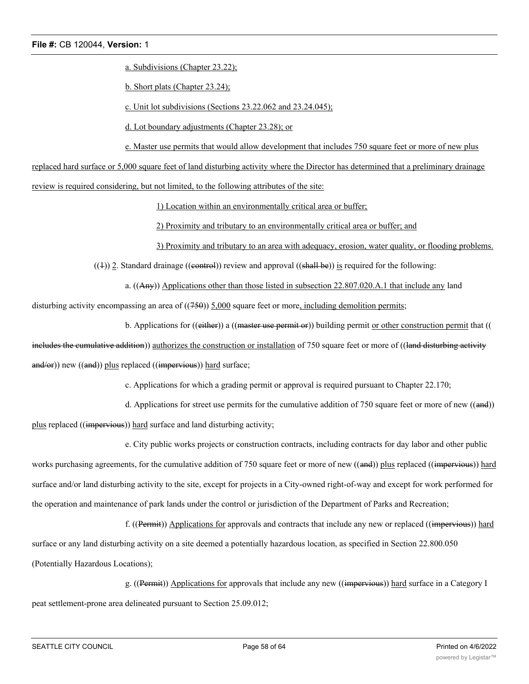a. Subdivisions (Chapter 23.22);

b. Short plats (Chapter 23.24);

c. Unit lot subdivisions (Sections 23.22.062 and 23.24.045);

d. Lot boundary adjustments (Chapter 23.28); or

e. Master use permits that would allow development that includes 750 square feet or more of new plus

replaced hard surface or 5,000 square feet of land disturbing activity where the Director has determined that a preliminary drainage

review is required considering, but not limited, to the following attributes of the site:

1) Location within an environmentally critical area or buffer;

2) Proximity and tributary to an environmentally critical area or buffer; and

3) Proximity and tributary to an area with adequacy, erosion, water quality, or flooding problems.

 $((+))$  2. Standard drainage ((eontrol)) review and approval ((shall be)) is required for the following:

a. ((Any)) Applications other than those listed in subsection 22.807.020.A.1 that include any land

disturbing activity encompassing an area of  $((750))$  5,000 square feet or more, including demolition permits;

b. Applications for ((either)) a ((master use permit or)) building permit or other construction permit that ((

includes the cumulative addition)) authorizes the construction or installation of 750 square feet or more of ((land disturbing activity and/or)) new ((and)) plus replaced ((impervious)) hard surface;

c. Applications for which a grading permit or approval is required pursuant to Chapter 22.170;

d. Applications for street use permits for the cumulative addition of 750 square feet or more of new ((and))

plus replaced ((impervious)) hard surface and land disturbing activity;

e. City public works projects or construction contracts, including contracts for day labor and other public

works purchasing agreements, for the cumulative addition of 750 square feet or more of new ((and)) plus replaced ((impervious)) hard surface and/or land disturbing activity to the site, except for projects in a City-owned right-of-way and except for work performed for the operation and maintenance of park lands under the control or jurisdiction of the Department of Parks and Recreation;

f. ((Permit)) Applications for approvals and contracts that include any new or replaced ((impervious)) hard surface or any land disturbing activity on a site deemed a potentially hazardous location, as specified in Section 22.800.050 (Potentially Hazardous Locations);

g. ((Permit)) Applications for approvals that include any new ((impervious)) hard surface in a Category I peat settlement-prone area delineated pursuant to Section 25.09.012;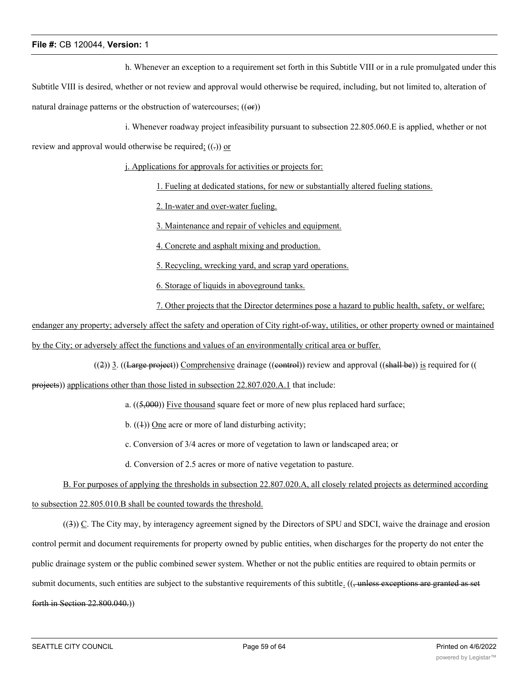h. Whenever an exception to a requirement set forth in this Subtitle VIII or in a rule promulgated under this

Subtitle VIII is desired, whether or not review and approval would otherwise be required, including, but not limited to, alteration of natural drainage patterns or the obstruction of watercourses;  $((\Theta \cdot \mathbf{r}))$ 

i. Whenever roadway project infeasibility pursuant to subsection 22.805.060.E is applied, whether or not

review and approval would otherwise be required;  $((.) )$  or

j. Applications for approvals for activities or projects for:

1. Fueling at dedicated stations, for new or substantially altered fueling stations.

2. In-water and over-water fueling.

3. Maintenance and repair of vehicles and equipment.

4. Concrete and asphalt mixing and production.

5. Recycling, wrecking yard, and scrap yard operations.

6. Storage of liquids in aboveground tanks.

7. Other projects that the Director determines pose a hazard to public health, safety, or welfare;

endanger any property; adversely affect the safety and operation of City right-of-way, utilities, or other property owned or maintained by the City; or adversely affect the functions and values of an environmentally critical area or buffer.

 $((2))$  3. ((Large project)) Comprehensive drainage ((control)) review and approval ((shall be)) is required for ((

projects)) applications other than those listed in subsection 22.807.020.A.1 that include:

a.  $((5,000))$  Five thousand square feet or more of new plus replaced hard surface;

b.  $((1))$  One acre or more of land disturbing activity;

c. Conversion of 3/4 acres or more of vegetation to lawn or landscaped area; or

d. Conversion of 2.5 acres or more of native vegetation to pasture.

B. For purposes of applying the thresholds in subsection 22.807.020.A, all closely related projects as determined according to subsection 22.805.010.B shall be counted towards the threshold.

((3)) C. The City may, by interagency agreement signed by the Directors of SPU and SDCI, waive the drainage and erosion control permit and document requirements for property owned by public entities, when discharges for the property do not enter the public drainage system or the public combined sewer system. Whether or not the public entities are required to obtain permits or submit documents, such entities are subject to the substantive requirements of this subtitle.  $((\frac{1}{2} \cdot \text{unless exceptions are granted as set})$ forth in Section 22.800.040.))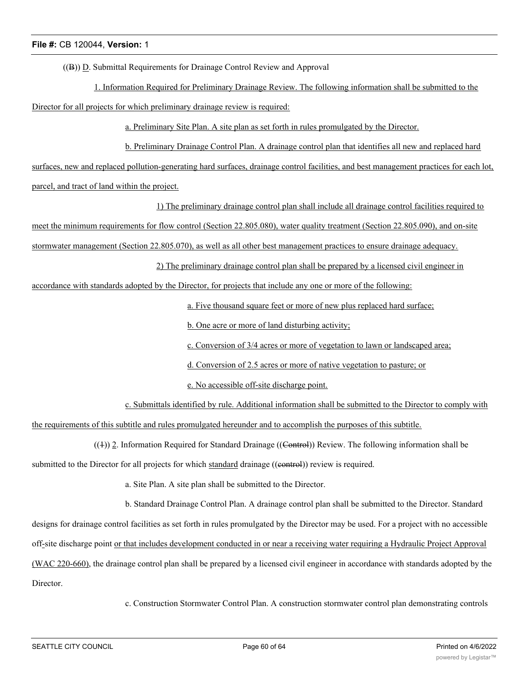$((B))$   $(D.$  Submittal Requirements for Drainage Control Review and Approval

1. Information Required for Preliminary Drainage Review. The following information shall be submitted to the Director for all projects for which preliminary drainage review is required:

a. Preliminary Site Plan. A site plan as set forth in rules promulgated by the Director.

b. Preliminary Drainage Control Plan. A drainage control plan that identifies all new and replaced hard

surfaces, new and replaced pollution-generating hard surfaces, drainage control facilities, and best management practices for each lot,

parcel, and tract of land within the project.

1) The preliminary drainage control plan shall include all drainage control facilities required to

meet the minimum requirements for flow control (Section 22.805.080), water quality treatment (Section 22.805.090), and on-site

stormwater management (Section 22.805.070), as well as all other best management practices to ensure drainage adequacy.

2) The preliminary drainage control plan shall be prepared by a licensed civil engineer in

accordance with standards adopted by the Director, for projects that include any one or more of the following:

a. Five thousand square feet or more of new plus replaced hard surface;

b. One acre or more of land disturbing activity;

c. Conversion of 3/4 acres or more of vegetation to lawn or landscaped area;

d. Conversion of 2.5 acres or more of native vegetation to pasture; or

e. No accessible off-site discharge point.

c. Submittals identified by rule. Additional information shall be submitted to the Director to comply with the requirements of this subtitle and rules promulgated hereunder and to accomplish the purposes of this subtitle.

 $((1))$  2. Information Required for Standard Drainage ((Control)) Review. The following information shall be

submitted to the Director for all projects for which standard drainage ((eontrol)) review is required.

a. Site Plan. A site plan shall be submitted to the Director.

b. Standard Drainage Control Plan. A drainage control plan shall be submitted to the Director. Standard designs for drainage control facilities as set forth in rules promulgated by the Director may be used. For a project with no accessible off-site discharge point or that includes development conducted in or near a receiving water requiring a Hydraulic Project Approval (WAC 220-660), the drainage control plan shall be prepared by a licensed civil engineer in accordance with standards adopted by the Director.

c. Construction Stormwater Control Plan. A construction stormwater control plan demonstrating controls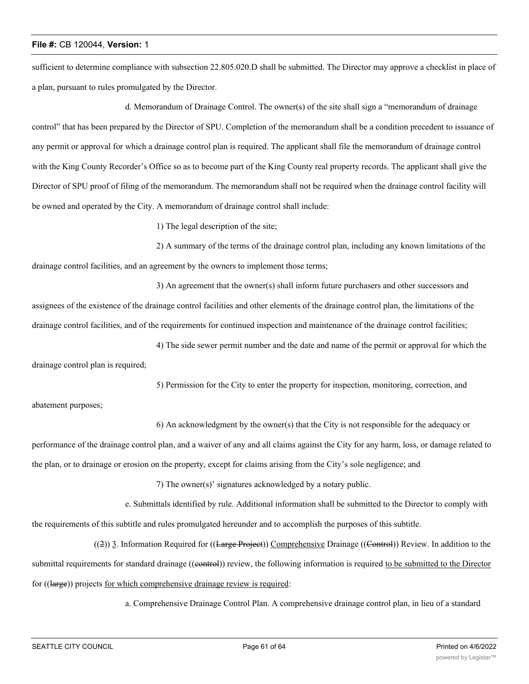sufficient to determine compliance with subsection 22.805.020.D shall be submitted. The Director may approve a checklist in place of a plan, pursuant to rules promulgated by the Director.

d. Memorandum of Drainage Control. The owner(s) of the site shall sign a "memorandum of drainage control" that has been prepared by the Director of SPU. Completion of the memorandum shall be a condition precedent to issuance of any permit or approval for which a drainage control plan is required. The applicant shall file the memorandum of drainage control with the King County Recorder's Office so as to become part of the King County real property records. The applicant shall give the Director of SPU proof of filing of the memorandum. The memorandum shall not be required when the drainage control facility will be owned and operated by the City. A memorandum of drainage control shall include:

1) The legal description of the site;

2) A summary of the terms of the drainage control plan, including any known limitations of the drainage control facilities, and an agreement by the owners to implement those terms;

3) An agreement that the owner(s) shall inform future purchasers and other successors and assignees of the existence of the drainage control facilities and other elements of the drainage control plan, the limitations of the drainage control facilities, and of the requirements for continued inspection and maintenance of the drainage control facilities;

4) The side sewer permit number and the date and name of the permit or approval for which the drainage control plan is required;

5) Permission for the City to enter the property for inspection, monitoring, correction, and

abatement purposes;

6) An acknowledgment by the owner(s) that the City is not responsible for the adequacy or

performance of the drainage control plan, and a waiver of any and all claims against the City for any harm, loss, or damage related to

the plan, or to drainage or erosion on the property, except for claims arising from the City's sole negligence; and

7) The owner(s)' signatures acknowledged by a notary public.

e. Submittals identified by rule. Additional information shall be submitted to the Director to comply with the requirements of this subtitle and rules promulgated hereunder and to accomplish the purposes of this subtitle.

((2)) 3. Information Required for ((Large Project)) Comprehensive Drainage ((Control)) Review. In addition to the submittal requirements for standard drainage ((eontrol)) review, the following information is required to be submitted to the Director for ((large)) projects for which comprehensive drainage review is required:

a. Comprehensive Drainage Control Plan. A comprehensive drainage control plan, in lieu of a standard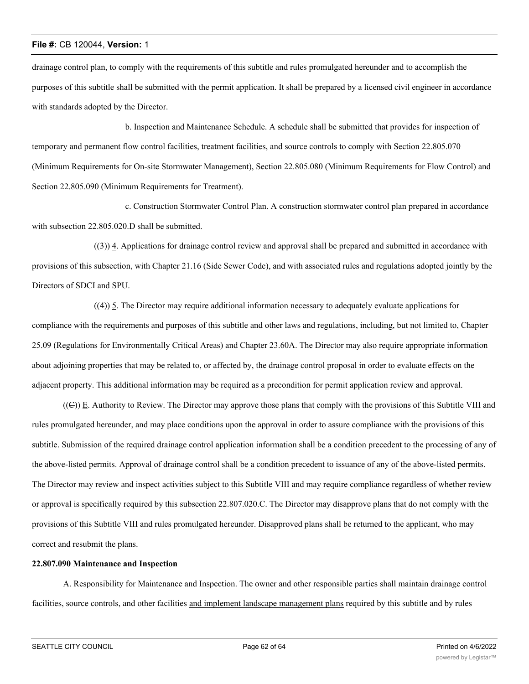drainage control plan, to comply with the requirements of this subtitle and rules promulgated hereunder and to accomplish the purposes of this subtitle shall be submitted with the permit application. It shall be prepared by a licensed civil engineer in accordance with standards adopted by the Director.

b. Inspection and Maintenance Schedule. A schedule shall be submitted that provides for inspection of temporary and permanent flow control facilities, treatment facilities, and source controls to comply with Section 22.805.070 (Minimum Requirements for On-site Stormwater Management), Section 22.805.080 (Minimum Requirements for Flow Control) and Section 22.805.090 (Minimum Requirements for Treatment).

c. Construction Stormwater Control Plan. A construction stormwater control plan prepared in accordance with subsection 22.805.020.D shall be submitted.

((3)) 4. Applications for drainage control review and approval shall be prepared and submitted in accordance with provisions of this subsection, with Chapter 21.16 (Side Sewer Code), and with associated rules and regulations adopted jointly by the Directors of SDCI and SPU.

((4)) 5. The Director may require additional information necessary to adequately evaluate applications for compliance with the requirements and purposes of this subtitle and other laws and regulations, including, but not limited to, Chapter 25.09 (Regulations for Environmentally Critical Areas) and Chapter 23.60A. The Director may also require appropriate information about adjoining properties that may be related to, or affected by, the drainage control proposal in order to evaluate effects on the adjacent property. This additional information may be required as a precondition for permit application review and approval.

((C)) E. Authority to Review. The Director may approve those plans that comply with the provisions of this Subtitle VIII and rules promulgated hereunder, and may place conditions upon the approval in order to assure compliance with the provisions of this subtitle. Submission of the required drainage control application information shall be a condition precedent to the processing of any of the above-listed permits. Approval of drainage control shall be a condition precedent to issuance of any of the above-listed permits. The Director may review and inspect activities subject to this Subtitle VIII and may require compliance regardless of whether review or approval is specifically required by this subsection 22.807.020.C. The Director may disapprove plans that do not comply with the provisions of this Subtitle VIII and rules promulgated hereunder. Disapproved plans shall be returned to the applicant, who may correct and resubmit the plans.

#### **22.807.090 Maintenance and Inspection**

A. Responsibility for Maintenance and Inspection. The owner and other responsible parties shall maintain drainage control facilities, source controls, and other facilities and implement landscape management plans required by this subtitle and by rules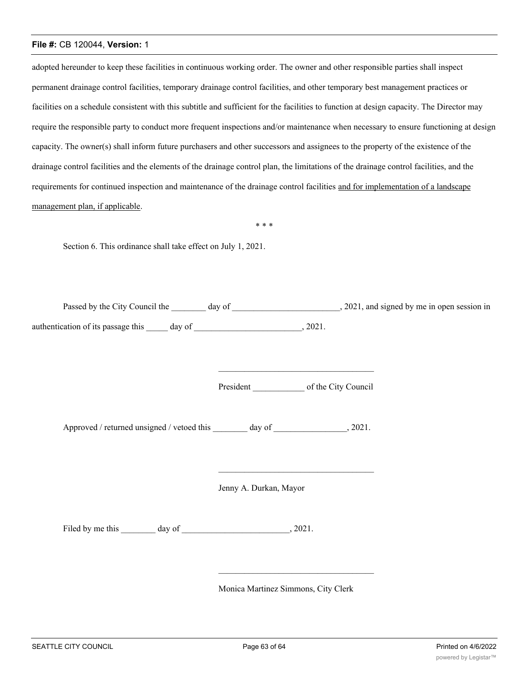adopted hereunder to keep these facilities in continuous working order. The owner and other responsible parties shall inspect permanent drainage control facilities, temporary drainage control facilities, and other temporary best management practices or facilities on a schedule consistent with this subtitle and sufficient for the facilities to function at design capacity. The Director may require the responsible party to conduct more frequent inspections and/or maintenance when necessary to ensure functioning at design capacity. The owner(s) shall inform future purchasers and other successors and assignees to the property of the existence of the drainage control facilities and the elements of the drainage control plan, the limitations of the drainage control facilities, and the requirements for continued inspection and maintenance of the drainage control facilities and for implementation of a landscape management plan, if applicable.

\* \* \*

Section 6. This ordinance shall take effect on July 1, 2021.

| Passed by the City Council the     | day of |       | , 2021, and signed by me in open session in |
|------------------------------------|--------|-------|---------------------------------------------|
| authentication of its passage this | day of | 2021. |                                             |

President of the City Council

\_\_\_\_\_\_\_\_\_\_\_\_\_\_\_\_\_\_\_\_\_\_\_\_\_\_\_\_\_\_\_\_\_\_\_\_

\_\_\_\_\_\_\_\_\_\_\_\_\_\_\_\_\_\_\_\_\_\_\_\_\_\_\_\_\_\_\_\_\_\_\_\_

Approved / returned unsigned / vetoed this \_\_\_\_\_\_\_ day of \_\_\_\_\_\_\_\_\_\_\_\_, 2021.

Jenny A. Durkan, Mayor

Filed by me this day of 2021.

Monica Martinez Simmons, City Clerk

\_\_\_\_\_\_\_\_\_\_\_\_\_\_\_\_\_\_\_\_\_\_\_\_\_\_\_\_\_\_\_\_\_\_\_\_